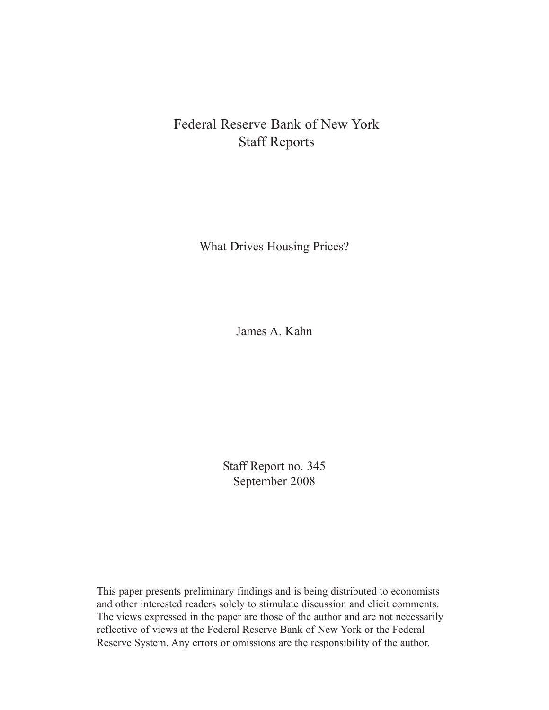# Federal Reserve Bank of New York Staff Reports

What Drives Housing Prices?

James A. Kahn

Staff Report no. 345 September 2008

This paper presents preliminary findings and is being distributed to economists and other interested readers solely to stimulate discussion and elicit comments. The views expressed in the paper are those of the author and are not necessarily reflective of views at the Federal Reserve Bank of New York or the Federal Reserve System. Any errors or omissions are the responsibility of the author.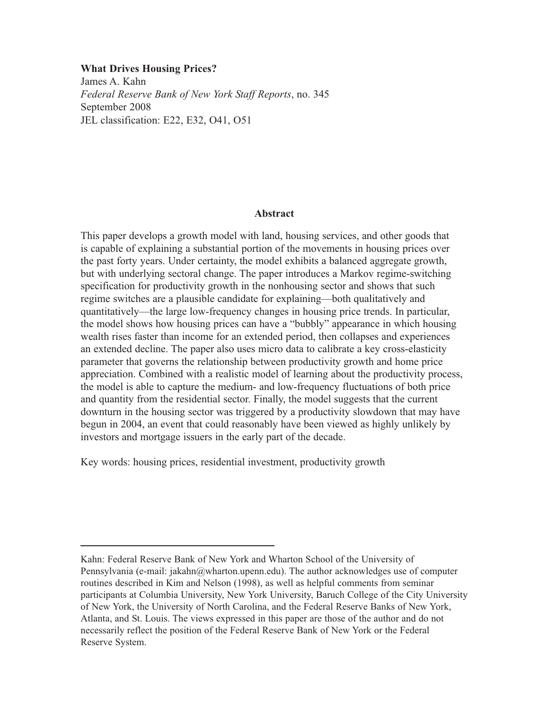**What Drives Housing Prices?** James A. Kahn *Federal Reserve Bank of New York Staff Reports*, no. 345 September 2008 JEL classification: E22, E32, O41, O51

## **Abstract**

This paper develops a growth model with land, housing services, and other goods that is capable of explaining a substantial portion of the movements in housing prices over the past forty years. Under certainty, the model exhibits a balanced aggregate growth, but with underlying sectoral change. The paper introduces a Markov regime-switching specification for productivity growth in the nonhousing sector and shows that such regime switches are a plausible candidate for explaining—both qualitatively and quantitatively—the large low-frequency changes in housing price trends. In particular, the model shows how housing prices can have a "bubbly" appearance in which housing wealth rises faster than income for an extended period, then collapses and experiences an extended decline. The paper also uses micro data to calibrate a key cross-elasticity parameter that governs the relationship between productivity growth and home price appreciation. Combined with a realistic model of learning about the productivity process, the model is able to capture the medium- and low-frequency fluctuations of both price and quantity from the residential sector. Finally, the model suggests that the current downturn in the housing sector was triggered by a productivity slowdown that may have begun in 2004, an event that could reasonably have been viewed as highly unlikely by investors and mortgage issuers in the early part of the decade.

Key words: housing prices, residential investment, productivity growth

Kahn: Federal Reserve Bank of New York and Wharton School of the University of Pennsylvania (e-mail: jakahn@wharton.upenn.edu). The author acknowledges use of computer routines described in Kim and Nelson (1998), as well as helpful comments from seminar participants at Columbia University, New York University, Baruch College of the City University of New York, the University of North Carolina, and the Federal Reserve Banks of New York, Atlanta, and St. Louis. The views expressed in this paper are those of the author and do not necessarily reflect the position of the Federal Reserve Bank of New York or the Federal Reserve System.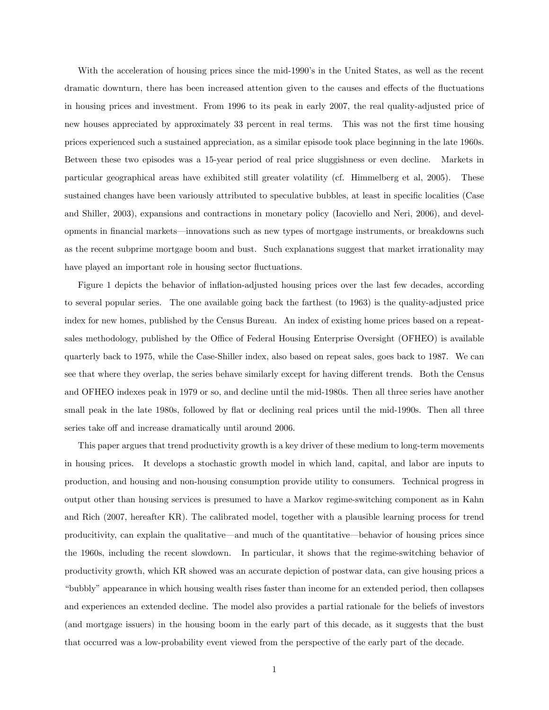With the acceleration of housing prices since the mid-1990's in the United States, as well as the recent dramatic downturn, there has been increased attention given to the causes and effects of the fluctuations in housing prices and investment. From 1996 to its peak in early 2007, the real quality-adjusted price of new houses appreciated by approximately 33 percent in real terms. This was not the first time housing prices experienced such a sustained appreciation, as a similar episode took place beginning in the late 1960s. Between these two episodes was a 15-year period of real price sluggishness or even decline. Markets in particular geographical areas have exhibited still greater volatility (cf. Himmelberg et al, 2005). These sustained changes have been variously attributed to speculative bubbles, at least in specific localities (Case and Shiller, 2003), expansions and contractions in monetary policy (Iacoviello and Neri, 2006), and developments in financial markets—innovations such as new types of mortgage instruments, or breakdowns such as the recent subprime mortgage boom and bust. Such explanations suggest that market irrationality may have played an important role in housing sector fluctuations.

Figure 1 depicts the behavior of inflation-adjusted housing prices over the last few decades, according to several popular series. The one available going back the farthest (to 1963) is the quality-adjusted price index for new homes, published by the Census Bureau. An index of existing home prices based on a repeatsales methodology, published by the Office of Federal Housing Enterprise Oversight (OFHEO) is available quarterly back to 1975, while the Case-Shiller index, also based on repeat sales, goes back to 1987. We can see that where they overlap, the series behave similarly except for having different trends. Both the Census and OFHEO indexes peak in 1979 or so, and decline until the mid-1980s. Then all three series have another small peak in the late 1980s, followed by flat or declining real prices until the mid-1990s. Then all three series take off and increase dramatically until around 2006.

This paper argues that trend productivity growth is a key driver of these medium to long-term movements in housing prices. It develops a stochastic growth model in which land, capital, and labor are inputs to production, and housing and non-housing consumption provide utility to consumers. Technical progress in output other than housing services is presumed to have a Markov regime-switching component as in Kahn and Rich (2007, hereafter KR). The calibrated model, together with a plausible learning process for trend producitivity, can explain the qualitative—and much of the quantitative—behavior of housing prices since the 1960s, including the recent slowdown. In particular, it shows that the regime-switching behavior of productivity growth, which KR showed was an accurate depiction of postwar data, can give housing prices a ìbubblyîappearance in which housing wealth rises faster than income for an extended period, then collapses and experiences an extended decline. The model also provides a partial rationale for the beliefs of investors (and mortgage issuers) in the housing boom in the early part of this decade, as it suggests that the bust that occurred was a low-probability event viewed from the perspective of the early part of the decade.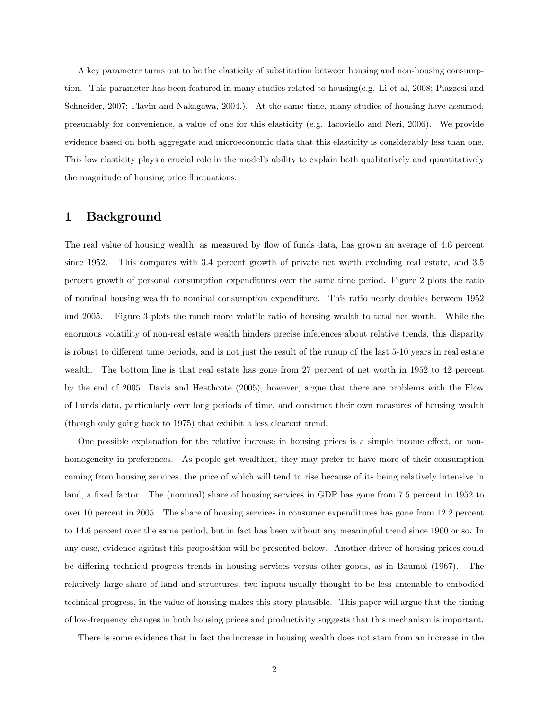A key parameter turns out to be the elasticity of substitution between housing and non-housing consumption. This parameter has been featured in many studies related to housing(e.g. Li et al, 2008; Piazzesi and Schneider, 2007; Flavin and Nakagawa, 2004.). At the same time, many studies of housing have assumed, presumably for convenience, a value of one for this elasticity (e.g. Iacoviello and Neri, 2006). We provide evidence based on both aggregate and microeconomic data that this elasticity is considerably less than one. This low elasticity plays a crucial role in the model's ability to explain both qualitatively and quantitatively the magnitude of housing price fluctuations.

# 1 Background

The real value of housing wealth, as measured by flow of funds data, has grown an average of 4.6 percent since 1952. This compares with 3.4 percent growth of private net worth excluding real estate, and 3.5 percent growth of personal consumption expenditures over the same time period. Figure 2 plots the ratio of nominal housing wealth to nominal consumption expenditure. This ratio nearly doubles between 1952 and 2005. Figure 3 plots the much more volatile ratio of housing wealth to total net worth. While the enormous volatility of non-real estate wealth hinders precise inferences about relative trends, this disparity is robust to different time periods, and is not just the result of the runup of the last 5-10 years in real estate wealth. The bottom line is that real estate has gone from 27 percent of net worth in 1952 to 42 percent by the end of 2005. Davis and Heathcote (2005), however, argue that there are problems with the Flow of Funds data, particularly over long periods of time, and construct their own measures of housing wealth (though only going back to 1975) that exhibit a less clearcut trend.

One possible explanation for the relative increase in housing prices is a simple income effect, or nonhomogeneity in preferences. As people get wealthier, they may prefer to have more of their consumption coming from housing services, the price of which will tend to rise because of its being relatively intensive in land, a fixed factor. The (nominal) share of housing services in GDP has gone from 7.5 percent in 1952 to over 10 percent in 2005. The share of housing services in consumer expenditures has gone from 12.2 percent to 14.6 percent over the same period, but in fact has been without any meaningful trend since 1960 or so. In any case, evidence against this proposition will be presented below. Another driver of housing prices could be differing technical progress trends in housing services versus other goods, as in Baumol (1967). The relatively large share of land and structures, two inputs usually thought to be less amenable to embodied technical progress, in the value of housing makes this story plausible. This paper will argue that the timing of low-frequency changes in both housing prices and productivity suggests that this mechanism is important.

There is some evidence that in fact the increase in housing wealth does not stem from an increase in the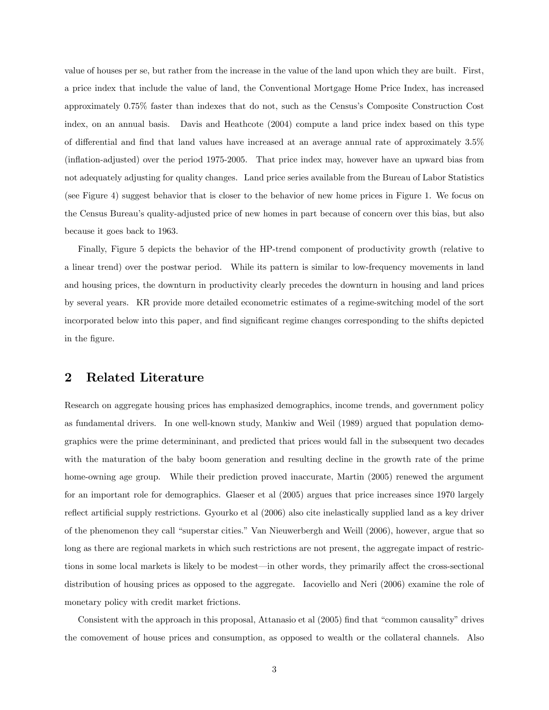value of houses per se, but rather from the increase in the value of the land upon which they are built. First, a price index that include the value of land, the Conventional Mortgage Home Price Index, has increased approximately 0.75% faster than indexes that do not, such as the Censusís Composite Construction Cost index, on an annual basis. Davis and Heathcote (2004) compute a land price index based on this type of differential and find that land values have increased at an average annual rate of approximately 3.5% (ináation-adjusted) over the period 1975-2005. That price index may, however have an upward bias from not adequately adjusting for quality changes. Land price series available from the Bureau of Labor Statistics (see Figure 4) suggest behavior that is closer to the behavior of new home prices in Figure 1. We focus on the Census Bureauís quality-adjusted price of new homes in part because of concern over this bias, but also because it goes back to 1963.

Finally, Figure 5 depicts the behavior of the HP-trend component of productivity growth (relative to a linear trend) over the postwar period. While its pattern is similar to low-frequency movements in land and housing prices, the downturn in productivity clearly precedes the downturn in housing and land prices by several years. KR provide more detailed econometric estimates of a regime-switching model of the sort incorporated below into this paper, and Önd signiÖcant regime changes corresponding to the shifts depicted in the figure.

## 2 Related Literature

Research on aggregate housing prices has emphasized demographics, income trends, and government policy as fundamental drivers. In one well-known study, Mankiw and Weil (1989) argued that population demographics were the prime determininant, and predicted that prices would fall in the subsequent two decades with the maturation of the baby boom generation and resulting decline in the growth rate of the prime home-owning age group. While their prediction proved inaccurate, Martin (2005) renewed the argument for an important role for demographics. Glaeser et al (2005) argues that price increases since 1970 largely reflect artificial supply restrictions. Gyourko et al (2006) also cite inelastically supplied land as a key driver of the phenomenon they call "superstar cities." Van Nieuwerbergh and Weill (2006), however, argue that so long as there are regional markets in which such restrictions are not present, the aggregate impact of restrictions in some local markets is likely to be modest—in other words, they primarily affect the cross-sectional distribution of housing prices as opposed to the aggregate. Iacoviello and Neri (2006) examine the role of monetary policy with credit market frictions.

Consistent with the approach in this proposal, Attanasio et al  $(2005)$  find that "common causality" drives the comovement of house prices and consumption, as opposed to wealth or the collateral channels. Also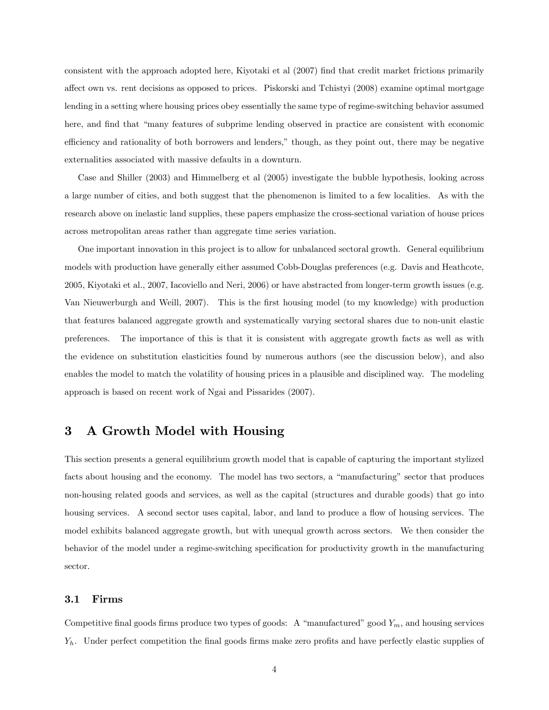consistent with the approach adopted here, Kiyotaki et al (2007) Önd that credit market frictions primarily affect own vs. rent decisions as opposed to prices. Piskorski and Tchistyi (2008) examine optimal mortgage lending in a setting where housing prices obey essentially the same type of regime-switching behavior assumed here, and find that "many features of subprime lending observed in practice are consistent with economic efficiency and rationality of both borrowers and lenders," though, as they point out, there may be negative externalities associated with massive defaults in a downturn.

Case and Shiller (2003) and Himmelberg et al (2005) investigate the bubble hypothesis, looking across a large number of cities, and both suggest that the phenomenon is limited to a few localities. As with the research above on inelastic land supplies, these papers emphasize the cross-sectional variation of house prices across metropolitan areas rather than aggregate time series variation.

One important innovation in this project is to allow for unbalanced sectoral growth. General equilibrium models with production have generally either assumed Cobb-Douglas preferences (e.g. Davis and Heathcote, 2005, Kiyotaki et al., 2007, Iacoviello and Neri, 2006) or have abstracted from longer-term growth issues (e.g. Van Nieuwerburgh and Weill, 2007). This is the first housing model (to my knowledge) with production that features balanced aggregate growth and systematically varying sectoral shares due to non-unit elastic preferences. The importance of this is that it is consistent with aggregate growth facts as well as with the evidence on substitution elasticities found by numerous authors (see the discussion below), and also enables the model to match the volatility of housing prices in a plausible and disciplined way. The modeling approach is based on recent work of Ngai and Pissarides (2007).

# 3 A Growth Model with Housing

This section presents a general equilibrium growth model that is capable of capturing the important stylized facts about housing and the economy. The model has two sectors, a "manufacturing" sector that produces non-housing related goods and services, as well as the capital (structures and durable goods) that go into housing services. A second sector uses capital, labor, and land to produce a flow of housing services. The model exhibits balanced aggregate growth, but with unequal growth across sectors. We then consider the behavior of the model under a regime-switching specification for productivity growth in the manufacturing sector.

#### 3.1 Firms

Competitive final goods firms produce two types of goods: A "manufactured" good  $Y_m$ , and housing services  $Y_h$ . Under perfect competition the final goods firms make zero profits and have perfectly elastic supplies of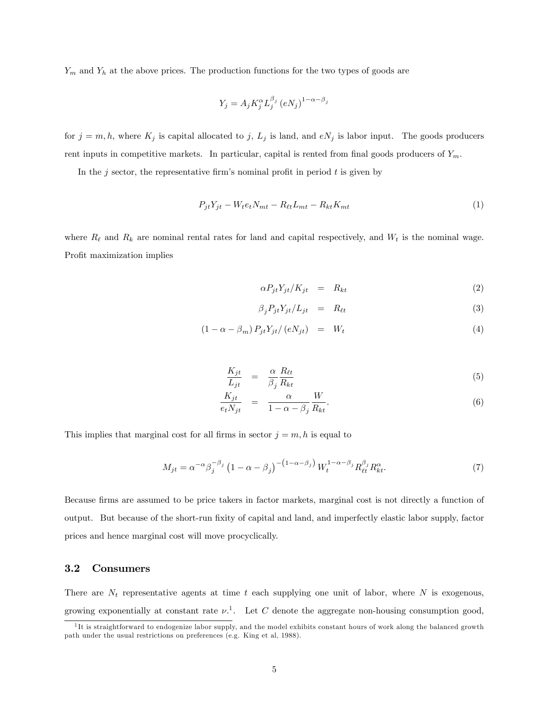$Y_m$  and  $Y_h$  at the above prices. The production functions for the two types of goods are

$$
Y_j = A_j K_j^{\alpha} L_j^{\beta_j} (eN_j)^{1-\alpha-\beta_j}
$$

for  $j = m, h$ , where  $K_j$  is capital allocated to j,  $L_j$  is land, and  $eN_j$  is labor input. The goods producers rent inputs in competitive markets. In particular, capital is rented from final goods producers of  $Y_m$ .

In the j sector, the representative firm's nominal profit in period  $t$  is given by

$$
P_{jt}Y_{jt} - W_t e_t N_{mt} - R_{\ell t} L_{mt} - R_{kt} K_{mt}
$$
\n<sup>(1)</sup>

where  $R_\ell$  and  $R_k$  are nominal rental rates for land and capital respectively, and  $W_t$  is the nominal wage. Profit maximization implies

$$
\alpha P_{jt} Y_{jt} / K_{jt} = R_{kt} \tag{2}
$$

$$
\beta_j P_{jt} Y_{jt} / L_{jt} = R_{\ell t} \tag{3}
$$

$$
(1 - \alpha - \beta_m) P_{jt} Y_{jt} / (eN_{jt}) = W_t \tag{4}
$$

$$
\frac{K_{jt}}{L_{jt}} = \frac{\alpha}{\beta_j} \frac{R_{\ell t}}{R_{kt}} \tag{5}
$$

$$
\frac{K_{jt}}{e_t N_{jt}} = \frac{\alpha}{1 - \alpha - \beta_j} \frac{W}{R_{kt}}.
$$
\n(6)

This implies that marginal cost for all firms in sector  $j = m, h$  is equal to

$$
M_{jt} = \alpha^{-\alpha} \beta_j^{-\beta_j} \left( 1 - \alpha - \beta_j \right)^{-\left( 1 - \alpha - \beta_j \right)} W_t^{1 - \alpha - \beta_j} R_{\ell t}^{\beta_j} R_{kt}^{\alpha}.
$$
 (7)

Because Örms are assumed to be price takers in factor markets, marginal cost is not directly a function of output. But because of the short-run fixity of capital and land, and imperfectly elastic labor supply, factor prices and hence marginal cost will move procyclically.

#### 3.2 Consumers

There are  $N_t$  representative agents at time t each supplying one unit of labor, where N is exogenous, growing exponentially at constant rate  $\nu$ <sup>1</sup>. Let C denote the aggregate non-housing consumption good,

<sup>&</sup>lt;sup>1</sup>It is straightforward to endogenize labor supply, and the model exhibits constant hours of work along the balanced growth path under the usual restrictions on preferences (e.g. King et al, 1988).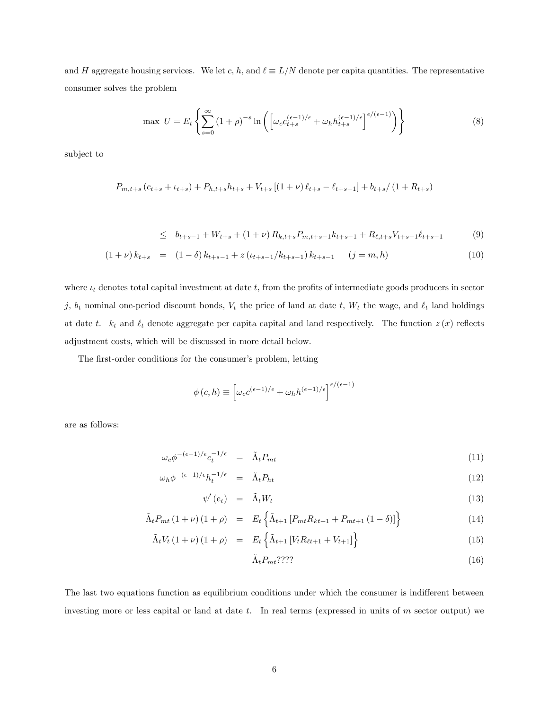and H aggregate housing services. We let c, h, and  $\ell \equiv L/N$  denote per capita quantities. The representative consumer solves the problem

$$
\max \ U = E_t \left\{ \sum_{s=0}^{\infty} \left( 1 + \rho \right)^{-s} \ln \left( \left[ \omega_c c_{t+s}^{(\epsilon-1)/\epsilon} + \omega_h h_{t+s}^{(\epsilon-1)/\epsilon} \right]^{\epsilon/(\epsilon-1)} \right) \right\} \tag{8}
$$

subject to

$$
P_{m,t+s} (c_{t+s} + \iota_{t+s}) + P_{h,t+s} h_{t+s} + V_{t+s} \left[ (1+\nu) \ell_{t+s} - \ell_{t+s-1} \right] + b_{t+s} / \left( 1 + R_{t+s} \right)
$$

$$
\leq b_{t+s-1} + W_{t+s} + (1+\nu) R_{k,t+s} P_{m,t+s-1} k_{t+s-1} + R_{\ell,t+s} V_{t+s-1} \ell_{t+s-1} \tag{9}
$$

$$
(1+\nu) k_{t+s} = (1-\delta) k_{t+s-1} + z (\iota_{t+s-1}/k_{t+s-1}) k_{t+s-1} \quad (j=m,h)
$$
\n(10)

where  $t_t$  denotes total capital investment at date t, from the profits of intermediate goods producers in sector j,  $b_t$  nominal one-period discount bonds,  $V_t$  the price of land at date  $t$ ,  $W_t$  the wage, and  $\ell_t$  land holdings at date t.  $k_t$  and  $\ell_t$  denote aggregate per capital capital and land respectively. The function  $z(x)$  reflects adjustment costs, which will be discussed in more detail below.

The first-order conditions for the consumer's problem, letting

$$
\phi(c,h) \equiv \left[\omega_c e^{(\epsilon - 1)/\epsilon} + \omega_h h^{(\epsilon - 1)/\epsilon}\right]^{\epsilon/(\epsilon - 1)}
$$

are as follows:

$$
\omega_c \phi^{-(\epsilon - 1)/\epsilon} c_t^{-1/\epsilon} = \tilde{\Lambda}_t P_{mt} \tag{11}
$$

$$
\omega_h \phi^{-(\epsilon-1)/\epsilon} h_t^{-1/\epsilon} = \tilde{\Lambda}_t P_{ht} \tag{12}
$$

$$
\psi'(e_t) = \tilde{\Lambda}_t W_t \tag{13}
$$

$$
\tilde{\Lambda}_t P_{mt} (1+\nu) (1+\rho) = E_t \left\{ \tilde{\Lambda}_{t+1} \left[ P_{mt} R_{kt+1} + P_{mt+1} (1-\delta) \right] \right\} \tag{14}
$$

$$
\tilde{\Lambda}_t V_t (1+\nu) (1+\rho) = E_t \left\{ \tilde{\Lambda}_{t+1} \left[ V_t R_{\ell t+1} + V_{t+1} \right] \right\} \tag{15}
$$

$$
\tilde{\Lambda}_t P_{mt}?\text{???}\tag{16}
$$

The last two equations function as equilibrium conditions under which the consumer is indifferent between investing more or less capital or land at date  $t$ . In real terms (expressed in units of  $m$  sector output) we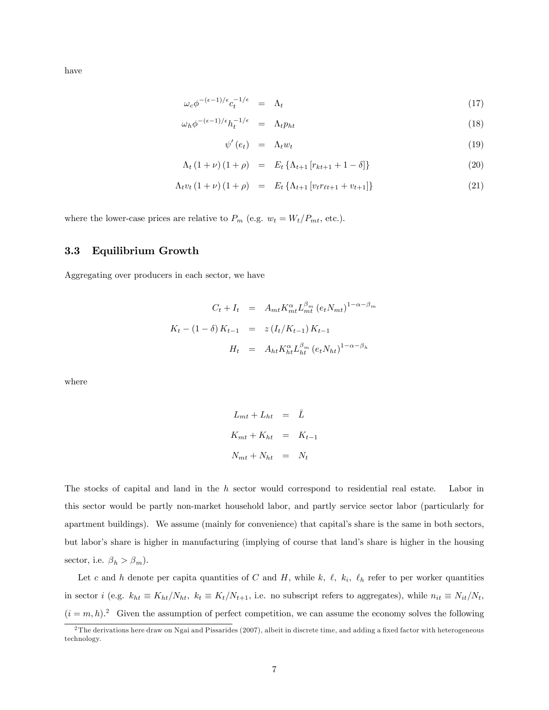have

$$
\omega_c \phi^{-(\epsilon - 1)/\epsilon} c_t^{-1/\epsilon} = \Lambda_t \tag{17}
$$

$$
\omega_h \phi^{-(\epsilon - 1)/\epsilon} h_t^{-1/\epsilon} = \Lambda_t p_{ht} \tag{18}
$$

$$
\psi'(e_t) = \Lambda_t w_t \tag{19}
$$

$$
\Lambda_t (1+\nu) (1+\rho) = E_t \{ \Lambda_{t+1} [r_{kt+1} + 1 - \delta] \}
$$
\n(20)

$$
\Lambda_t v_t (1 + \nu) (1 + \rho) = E_t \{ \Lambda_{t+1} [v_t r_{\ell t+1} + v_{t+1}] \}
$$
\n(21)

where the lower-case prices are relative to  $P_m$  (e.g.  $w_t = W_t/P_{mt}$ , etc.).

### 3.3 Equilibrium Growth

Aggregating over producers in each sector, we have

$$
C_t + I_t = A_{mt} K_{mt}^{\alpha} L_{mt}^{\beta_m} (e_t N_{mt})^{1-\alpha-\beta_m}
$$
  

$$
K_t - (1-\delta) K_{t-1} = z (I_t / K_{t-1}) K_{t-1}
$$
  

$$
H_t = A_{ht} K_{ht}^{\alpha} L_{ht}^{\beta_m} (e_t N_{ht})^{1-\alpha-\beta_h}
$$

where

$$
L_{mt} + L_{ht} = \bar{L}
$$
  

$$
K_{mt} + K_{ht} = K_{t-1}
$$
  

$$
N_{mt} + N_{ht} = N_t
$$

The stocks of capital and land in the h sector would correspond to residential real estate. Labor in this sector would be partly non-market household labor, and partly service sector labor (particularly for apartment buildings). We assume (mainly for convenience) that capitalís share is the same in both sectors, but labor's share is higher in manufacturing (implying of course that land's share is higher in the housing sector, i.e.  $\beta_h > \beta_m).$ 

Let c and h denote per capita quantities of C and H, while k,  $\ell$ ,  $k_i$ ,  $\ell_h$  refer to per worker quantities in sector i (e.g.  $k_{ht} \equiv K_{ht}/N_{ht}$ ,  $k_t \equiv K_t/N_{t+1}$ , i.e. no subscript refers to aggregates), while  $n_{it} \equiv N_{it}/N_t$ ,  $(i = m, h)^2$  Given the assumption of perfect competition, we can assume the economy solves the following

 $2$ The derivations here draw on Ngai and Pissarides (2007), albeit in discrete time, and adding a fixed factor with heterogeneous technology.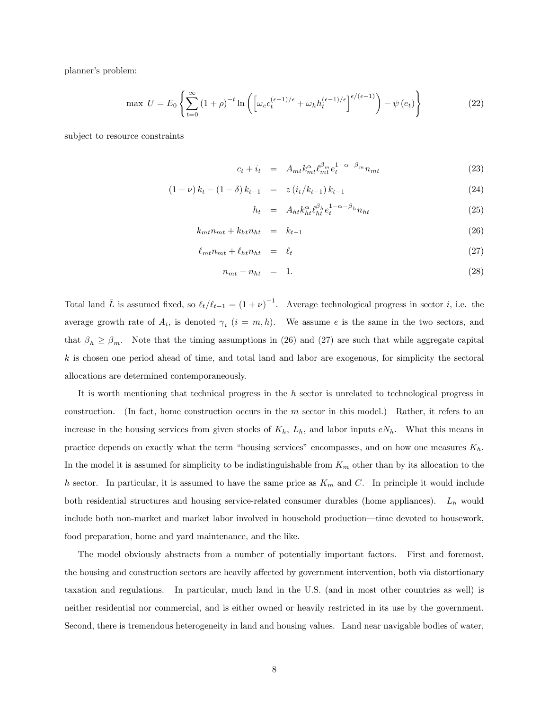planner's problem:

$$
\max \ U = E_0 \left\{ \sum_{t=0}^{\infty} \left( 1 + \rho \right)^{-t} \ln \left( \left[ \omega_c c_t^{(\epsilon - 1)/\epsilon} + \omega_h h_t^{(\epsilon - 1)/\epsilon} \right]^{\epsilon/(\epsilon - 1)} \right) - \psi \left( e_t \right) \right\} \tag{22}
$$

subject to resource constraints

$$
c_t + i_t = A_{mt} k_{mt}^{\alpha} \ell_{mt}^{\beta_m} e_t^{1 - \alpha - \beta_m} n_{mt}
$$
\n(23)

$$
(1+\nu) k_t - (1-\delta) k_{t-1} = z (i_t/k_{t-1}) k_{t-1}
$$
\n(24)

$$
h_t = A_{ht} k_{ht}^{\alpha} \ell_{ht}^{\beta_h} e_t^{1-\alpha-\beta_h} n_{ht} \tag{25}
$$

$$
k_{mt}n_{mt} + k_{ht}n_{ht} = k_{t-1} \tag{26}
$$

$$
\ell_{mt} n_{mt} + \ell_{ht} n_{ht} = \ell_t \tag{27}
$$

$$
n_{mt} + n_{ht} = 1. \tag{28}
$$

Total land  $\bar{L}$  is assumed fixed, so  $\ell_t/\ell_{t-1} = (1 + \nu)^{-1}$ . Average technological progress in sector *i*, i.e. the average growth rate of  $A_i$ , is denoted  $\gamma_i$   $(i = m, h)$ . We assume e is the same in the two sectors, and that  $\beta_h \geq \beta_m$ . Note that the timing assumptions in (26) and (27) are such that while aggregate capital k is chosen one period ahead of time, and total land and labor are exogenous, for simplicity the sectoral allocations are determined contemporaneously.

It is worth mentioning that technical progress in the h sector is unrelated to technological progress in construction. (In fact, home construction occurs in the m sector in this model.) Rather, it refers to an increase in the housing services from given stocks of  $K_h$ ,  $L_h$ , and labor inputs  $eN_h$ . What this means in practice depends on exactly what the term "housing services" encompasses, and on how one measures  $K_h$ . In the model it is assumed for simplicity to be indistinguishable from  $K_m$  other than by its allocation to the h sector. In particular, it is assumed to have the same price as  $K_m$  and C. In principle it would include both residential structures and housing service-related consumer durables (home appliances).  $L_h$  would include both non-market and market labor involved in household production—time devoted to housework, food preparation, home and yard maintenance, and the like.

The model obviously abstracts from a number of potentially important factors. First and foremost, the housing and construction sectors are heavily affected by government intervention, both via distortionary taxation and regulations. In particular, much land in the U.S. (and in most other countries as well) is neither residential nor commercial, and is either owned or heavily restricted in its use by the government. Second, there is tremendous heterogeneity in land and housing values. Land near navigable bodies of water,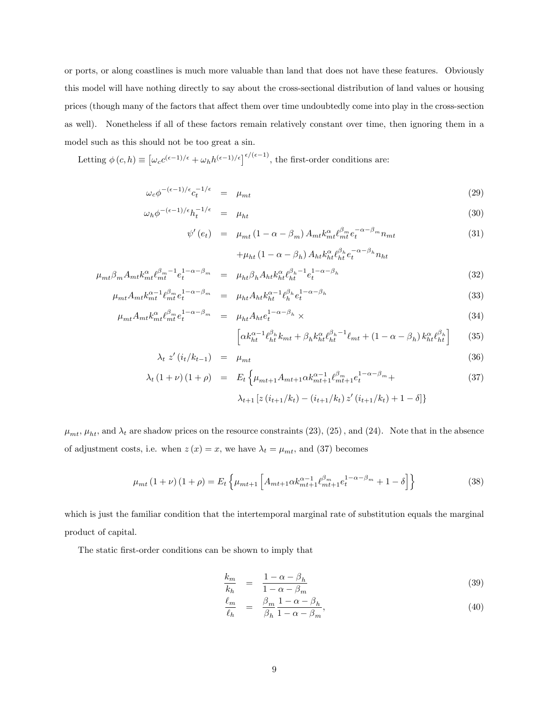or ports, or along coastlines is much more valuable than land that does not have these features. Obviously this model will have nothing directly to say about the cross-sectional distribution of land values or housing prices (though many of the factors that a§ect them over time undoubtedly come into play in the cross-section as well). Nonetheless if all of these factors remain relatively constant over time, then ignoring them in a model such as this should not be too great a sin.

Letting  $\phi(c, h) \equiv \left[\omega_c e^{(\epsilon - 1)/\epsilon} + \omega_h h^{(\epsilon - 1)/\epsilon}\right]^{\epsilon/(\epsilon - 1)}$ , the first-order conditions are:

$$
\omega_c \phi^{-(\epsilon-1)/\epsilon} c_t^{-1/\epsilon} = \mu_{mt} \tag{29}
$$

$$
\omega_h \phi^{-(\epsilon-1)/\epsilon} h_t^{-1/\epsilon} = \mu_{ht} \tag{30}
$$

$$
\psi'(e_t) = \mu_{mt} \left(1 - \alpha - \beta_m\right) A_{mt} k_{mt}^{\alpha} \ell_{mt}^{\beta_m} e_t^{-\alpha - \beta_m} n_{mt}
$$
\n
$$
+ \mu \left(1 - \alpha - \beta_0\right) A_{1} k_{\alpha}^{\alpha} \ell_{\beta_h}^{\beta_h} e^{-\alpha - \beta_h} n_{m}.
$$
\n(31)

$$
+\mu_{ht} (1 - \alpha - \beta_h) A_{ht} k_{ht}^{\alpha} \ell_{ht}^{\beta_h} e_t^{-\alpha - \beta_h} n_{ht}
$$

$$
\mu_{mt}\beta_m A_{mt}k_m^{\alpha}t_{mt}^{\beta_m-1}e_t^{1-\alpha-\beta_m} = \mu_{ht}\beta_h A_{ht}k_{ht}^{\alpha}t_{ht}^{\beta_h-1}e_t^{1-\alpha-\beta_h}
$$
\n
$$
\mu_{mt}A_{mt}k_{\alpha-1}^{\alpha-1}t_{\alpha-1}^{\beta_m}e_t^{1-\alpha-\beta_m} = \mu_{t}A_{ht}k_{\alpha-1}^{\alpha-1}t_{\alpha}^{\beta_h}e_t^{1-\alpha-\beta_h}
$$
\n(33)

$$
\mu_{mt} A_{mt} k_{mt}^{\alpha - 1} \ell_{mt}^{\beta_m} e_t^{1 - \alpha - \beta_m} = \mu_{ht} A_{ht} k_{ht}^{\alpha - 1} \ell_h^{\beta_h} e_t^{1 - \alpha - \beta_h}
$$
\n
$$
\mu_{mt} A_{mt} k_{mt}^{\alpha} \ell_{mt}^{\beta_m} e_t^{1 - \alpha - \beta_m} = \mu_{ht} A_{ht} e_t^{1 - \alpha - \beta_h} \times
$$
\n(34)

$$
\left[\alpha k_{ht}^{\alpha-1} \ell_{ht}^{\beta_h} k_{mt} + \beta_h k_{ht}^{\alpha} \ell_{ht}^{\beta_h-1} \ell_{mt} + (1 - \alpha - \beta_h) k_{ht}^{\alpha} \ell_{ht}^{\beta_h}\right] \tag{35}
$$

$$
\lambda_t \, z' \left( i_t / k_{t-1} \right) \quad = \quad \mu_{mt} \tag{36}
$$

$$
\lambda_t (1+\nu) (1+\rho) = E_t \left\{ \mu_{mt+1} A_{mt+1} \alpha k_{mt+1}^{\alpha-1} \ell_{mt+1}^{\beta_m} e_t^{1-\alpha-\beta_m} + \lambda_{t+1} \left[ z (i_{t+1}/k_t) - (i_{t+1}/k_t) z' (i_{t+1}/k_t) + 1 - \delta \right] \right\}
$$
\n(37)

 $\mu_{mt}$ ,  $\mu_{ht}$ , and  $\lambda_t$  are shadow prices on the resource constraints (23), (25), and (24). Note that in the absence of adjustment costs, i.e. when  $z(x) = x$ , we have  $\lambda_t = \mu_{mt}$ , and (37) becomes

$$
\mu_{mt}(1+\nu)(1+\rho) = E_t \left\{ \mu_{mt+1} \left[ A_{mt+1} \alpha k_{mt+1}^{\alpha-1} \ell_{mt+1}^{\beta_m} e_t^{1-\alpha-\beta_m} + 1 - \delta \right] \right\}
$$
(38)

which is just the familiar condition that the intertemporal marginal rate of substitution equals the marginal product of capital.

The static first-order conditions can be shown to imply that

$$
\frac{k_m}{k_h} = \frac{1 - \alpha - \beta_h}{1 - \alpha - \beta_m} \tag{39}
$$

$$
\frac{\ell_m}{\ell_h} = \frac{\beta_m}{\beta_h} \frac{1 - \alpha - \beta_h}{1 - \alpha - \beta_m},\tag{40}
$$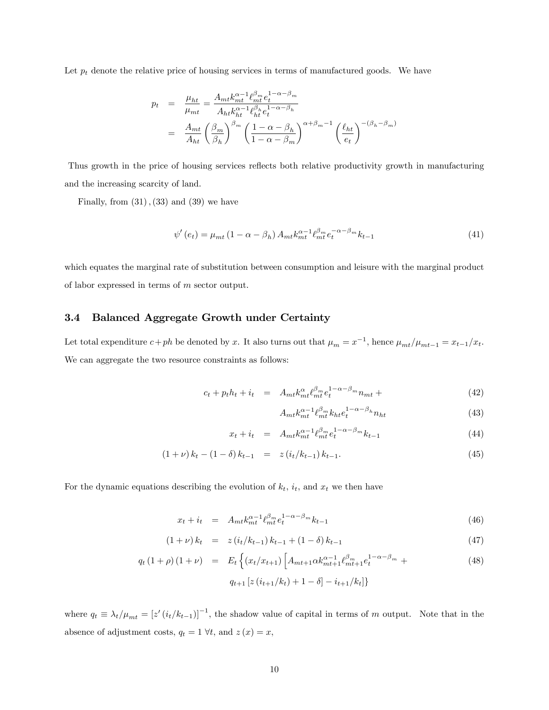Let  $p_t$  denote the relative price of housing services in terms of manufactured goods. We have

$$
p_t = \frac{\mu_{ht}}{\mu_{mt}} = \frac{A_{mt}k_{mt}^{\alpha-1} \ell_{mt}^{\beta_m} e_t^{1-\alpha-\beta_m}}{A_{ht}k_{ht}^{\alpha-1} \ell_{ht}^{\beta_h} e_t^{1-\alpha-\beta_h}}
$$
  

$$
= \frac{A_{mt}}{A_{ht}} \left(\frac{\beta_m}{\beta_h}\right)^{\beta_m} \left(\frac{1-\alpha-\beta_h}{1-\alpha-\beta_m}\right)^{\alpha+\beta_m-1} \left(\frac{\ell_{ht}}{e_t}\right)^{-(\beta_h-\beta_m)}
$$

Thus growth in the price of housing services reflects both relative productivity growth in manufacturing and the increasing scarcity of land.

Finally, from  $(31)$ ,  $(33)$  and  $(39)$  we have

$$
\psi'(e_t) = \mu_{mt} \left( 1 - \alpha - \beta_h \right) A_{mt} k_{mt}^{\alpha - 1} \ell_{mt}^{\beta_m} e_t^{-\alpha - \beta_m} k_{t-1} \tag{41}
$$

which equates the marginal rate of substitution between consumption and leisure with the marginal product of labor expressed in terms of m sector output.

#### 3.4 Balanced Aggregate Growth under Certainty

Let total expenditure  $c+ph$  be denoted by x. It also turns out that  $\mu_m = x^{-1}$ , hence  $\mu_{mt}/\mu_{mt-1} = x_{t-1}/x_t$ . We can aggregate the two resource constraints as follows:

$$
c_t + p_t h_t + i_t = A_{mt} k_{mt}^{\alpha} \ell_{mt}^{\beta_m} e_t^{1-\alpha-\beta_m} n_{mt} + \tag{42}
$$

$$
A_{mt}k_{mt}^{\alpha-1} \ell_{mt}^{\beta_m} k_{ht} e_t^{1-\alpha-\beta_h} n_{ht} \tag{43}
$$

$$
x_t + i_t = A_{mt} k_{mt}^{\alpha - 1} \ell_{mt}^{\beta_m} e_t^{1 - \alpha - \beta_m} k_{t-1}
$$
\n(44)

$$
(1+\nu) k_t - (1-\delta) k_{t-1} = z (i_t/k_{t-1}) k_{t-1}.
$$
\n(45)

For the dynamic equations describing the evolution of  $k_t$ ,  $i_t$ , and  $x_t$  we then have

$$
x_t + i_t = A_{mt} k_{mt}^{\alpha - 1} \ell_{mt}^{\beta_m} e_t^{1 - \alpha - \beta_m} k_{t-1}
$$
\n
$$
\tag{46}
$$

$$
(1+\nu) k_t = z (i_t/k_{t-1}) k_{t-1} + (1-\delta) k_{t-1}
$$
\n(47)

$$
q_t (1 + \rho) (1 + \nu) = E_t \left\{ (x_t / x_{t+1}) \left[ A_{mt+1} \alpha k_{mt+1}^{\alpha - 1} \ell_{mt+1}^{\beta_m} e_t^{1 - \alpha - \beta_m} + \right. \right.\n\left. q_{t+1} \left[ z (i_{t+1}/k_t) + 1 - \delta \right] - i_{t+1}/k_t \right\} \right\}
$$
\n(48)

where  $q_t \equiv \lambda_t/\mu_{mt} = [z'(i_t/k_{t-1})]^{-1}$ , the shadow value of capital in terms of m output. Note that in the absence of adjustment costs,  $q_t = 1 \forall t$ , and  $z(x) = x$ ,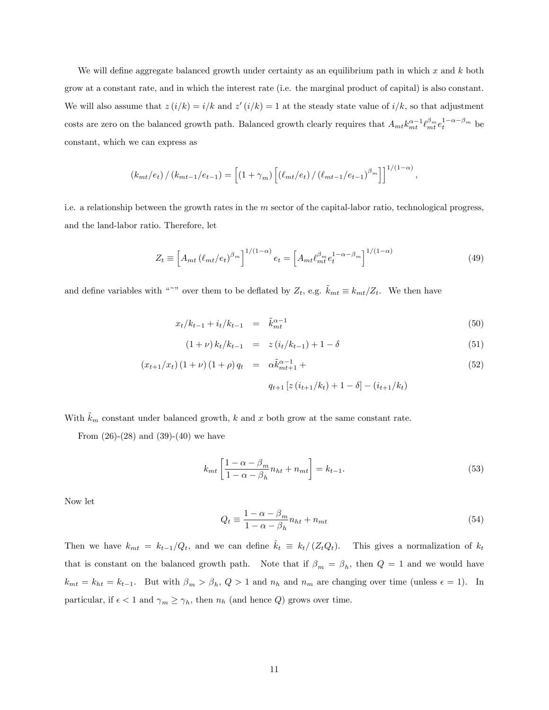We will define aggregate balanced growth under certainty as an equilibrium path in which x and  $k$  both grow at a constant rate, and in which the interest rate (i.e. the marginal product of capital) is also constant. We will also assume that  $z(i/k) = i/k$  and  $z'(i/k) = 1$  at the steady state value of  $i/k$ , so that adjustment costs are zero on the balanced growth path. Balanced growth clearly requires that  $A_{mt} k_{mt}^{\alpha-1} \ell_{mt}^{\beta_m} e_t^{1-\alpha-\beta_m}$  be constant, which we can express as

$$
(k_{mt}/e_t) / (k_{mt-1}/e_{t-1}) = \left[ (1 + \gamma_m) \left[ (\ell_{mt}/e_t) / (\ell_{mt-1}/e_{t-1})^{\beta_m} \right] \right]^{1/(1-\alpha)},
$$

i.e. a relationship between the growth rates in the  $m$  sector of the capital-labor ratio, technological progress, and the land-labor ratio. Therefore, let

$$
Z_t \equiv \left[ A_{mt} \left( \ell_{mt}/e_t \right)^{\beta_m} \right]^{1/(1-\alpha)} e_t = \left[ A_{mt} \ell_{mt}^{\beta_m} e_t^{1-\alpha-\beta_m} \right]^{1/(1-\alpha)} \tag{49}
$$

and define variables with "<sup>~</sup>" over them to be deflated by  $Z_t$ , e.g.  $\tilde{k}_{mt} \equiv k_{mt}/Z_t$ . We then have

$$
x_t/k_{t-1} + i_t/k_{t-1} = \tilde{k}_{mt}^{\alpha - 1} \tag{50}
$$

$$
(1+\nu) k_t/k_{t-1} = z(i_t/k_{t-1}) + 1 - \delta \tag{51}
$$

$$
(x_{t+1}/x_t)(1+\nu)(1+\rho)q_t = \alpha \tilde{k}_{mt+1}^{\alpha-1} +
$$
  
\n
$$
q_{t+1}[z(i_{t+1}/k_t) + 1 - \delta] - (i_{t+1}/k_t)
$$
\n(52)

With  $k_m$  constant under balanced growth, k and x both grow at the same constant rate.

From  $(26)-(28)$  and  $(39)-(40)$  we have

$$
k_{mt} \left[ \frac{1 - \alpha - \beta_m}{1 - \alpha - \beta_h} n_{ht} + n_{mt} \right] = k_{t-1}.
$$
\n(53)

Now let

$$
Q_t \equiv \frac{1 - \alpha - \beta_m}{1 - \alpha - \beta_h} n_{ht} + n_{mt} \tag{54}
$$

Then we have  $k_{mt} = k_{t-1}/Q_t$ , and we can define  $\hat{k}_t \equiv k_t/(Z_tQ_t)$ . This gives a normalization of  $k_t$ that is constant on the balanced growth path. Note that if  $\beta_m = \beta_h$ , then  $Q = 1$  and we would have  $k_{mt} = k_{ht} = k_{t-1}$ . But with  $\beta_m > \beta_h$ ,  $Q > 1$  and  $n_h$  and  $n_m$  are changing over time (unless  $\epsilon = 1$ ). In particular, if  $\epsilon < 1$  and  $\gamma_m \ge \gamma_h$ , then  $n_h$  (and hence Q) grows over time.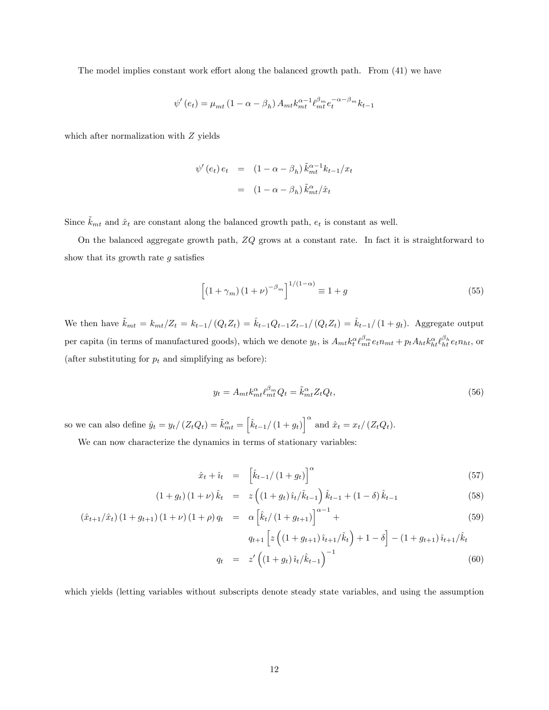The model implies constant work effort along the balanced growth path. From  $(41)$  we have

$$
\psi'(e_t) = \mu_{mt} \left( 1 - \alpha - \beta_h \right) A_{mt} k_{mt}^{\alpha - 1} \ell_{mt}^{\beta_m} e_t^{-\alpha - \beta_m} k_{t-1}
$$

which after normalization with  $Z$  yields

$$
\psi'(e_t) e_t = (1 - \alpha - \beta_h) \tilde{k}_{mt}^{\alpha - 1} k_{t-1}/x_t
$$

$$
= (1 - \alpha - \beta_h) \tilde{k}_{mt}^{\alpha}/\hat{x}_t
$$

Since  $\tilde{k}_{mt}$  and  $\hat{x}_t$  are constant along the balanced growth path,  $e_t$  is constant as well.

On the balanced aggregate growth path,  $ZQ$  grows at a constant rate. In fact it is straightforward to show that its growth rate  $q$  satisfies

$$
\left[ \left( 1 + \gamma_m \right) \left( 1 + \nu \right)^{-\beta_m} \right]^{1/(1-\alpha)} \equiv 1 + g \tag{55}
$$

We then have  $\tilde{k}_{mt} = k_{mt}/Z_t = k_{t-1}/(Q_tZ_t) = \hat{k}_{t-1}Q_{t-1}Z_{t-1}/(Q_tZ_t) = \hat{k}_{t-1}/(1 + g_t)$ . Aggregate output per capita (in terms of manufactured goods), which we denote  $y_t$ , is  $A_{mt} k_t^{\alpha} \ell_{mt}^{\beta_m} e_t n_{mt} + p_t A_{ht} k_{ht}^{\alpha} \ell_{ht}^{\beta_h} e_t n_{ht}$ , or (after substituting for  $p_t$  and simplifying as before):

$$
y_t = A_{mt} k_{mt}^{\alpha} \ell_{mt}^{\beta_m} Q_t = \tilde{k}_{mt}^{\alpha} Z_t Q_t, \qquad (56)
$$

so we can also define  $\hat{y}_t = y_t / (Z_t Q_t) = \tilde{k}_{mt}^{\alpha} = \left[ \hat{k}_{t-1} / (1 + g_t) \right]^{\alpha}$  and  $\hat{x}_t = x_t / (Z_t Q_t)$ .

We can now characterize the dynamics in terms of stationary variables:

$$
\hat{x}_t + \hat{i}_t = \left[ \hat{k}_{t-1} / \left( 1 + g_t \right) \right]^\alpha \tag{57}
$$

$$
(1+g_t)(1+\nu)\hat{k}_t = z((1+g_t)\hat{i}_t/\hat{k}_{t-1})\hat{k}_{t-1} + (1-\delta)\hat{k}_{t-1}
$$
\n(58)

$$
(\hat{x}_{t+1}/\hat{x}_t)(1+g_{t+1})(1+\nu)(1+\rho)q_t = \alpha \left[ \hat{k}_t/(1+g_{t+1}) \right]^{\alpha-1} +
$$
\n
$$
= \alpha \left[ \hat{k}_t/(1+g_{t+1}) \right]^{\alpha-1} +
$$
\n
$$
= \left[ \alpha \left( (1+\alpha)^{\alpha/2} \right)^{\alpha/2} + \alpha \left( (1+\alpha)^{\alpha/2} \right)^{\alpha/2} \right] \tag{59}
$$

$$
q_{t+1} \left[ z \left( \left( 1 + g_{t+1} \right) \hat{i}_{t+1} / \hat{k}_t \right) + 1 - \delta \right] - \left( 1 + g_{t+1} \right) \hat{i}_{t+1} / \hat{k}_t
$$
  
\n
$$
q_t = z' \left( \left( 1 + g_t \right) \hat{i}_t / \hat{k}_{t-1} \right)^{-1} \tag{60}
$$

which yields (letting variables without subscripts denote steady state variables, and using the assumption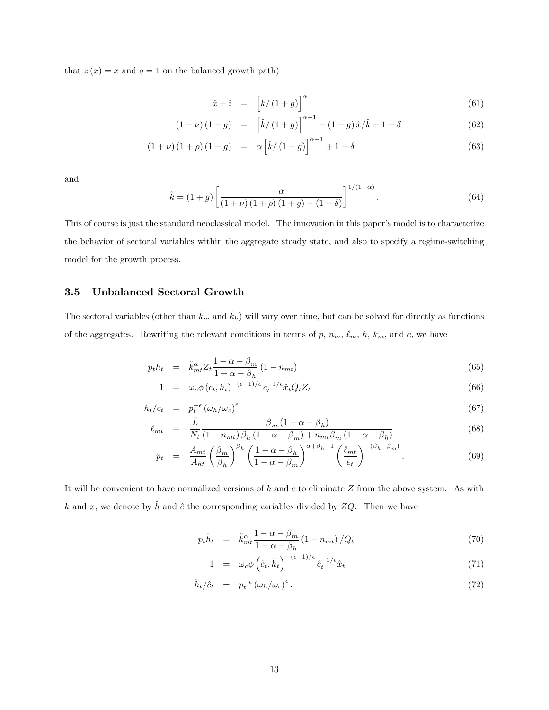that  $z(x) = x$  and  $q = 1$  on the balanced growth path)

$$
\hat{x} + \hat{i} = \left[\hat{k}/(1+g)\right]^{\alpha} \tag{61}
$$

$$
(1+\nu)(1+g) = \left[\hat{k}/(1+g)\right]^{\alpha-1} - (1+g)\,\hat{x}/\hat{k} + 1 - \delta \tag{62}
$$

$$
(1+\nu)(1+\rho)(1+g) = \alpha \left[\hat{k}/(1+g)\right]^{\alpha-1} + 1 - \delta \tag{63}
$$

and

$$
\hat{k} = (1+g) \left[ \frac{\alpha}{(1+\nu)(1+\rho)(1+g) - (1-\delta)} \right]^{1/(1-\alpha)}.
$$
\n(64)

This of course is just the standard neoclassical model. The innovation in this paper's model is to characterize the behavior of sectoral variables within the aggregate steady state, and also to specify a regime-switching model for the growth process.

### 3.5 Unbalanced Sectoral Growth

The sectoral variables (other than  $\tilde{k}_m$  and  $\tilde{k}_h$ ) will vary over time, but can be solved for directly as functions of the aggregates. Rewriting the relevant conditions in terms of p,  $n_m$ ,  $\ell_m$ ,  $h$ ,  $k_m$ , and c, we have

$$
p_t h_t = \tilde{k}_{mt}^{\alpha} Z_t \frac{1 - \alpha - \beta_m}{1 - \alpha - \beta_h} (1 - n_{mt}) \tag{65}
$$

$$
1 = \omega_c \phi(c_t, h_t)^{-(\epsilon - 1)/\epsilon} c_t^{-1/\epsilon} \hat{x}_t Q_t Z_t \tag{66}
$$

$$
h_t/c_t = p_t^{-\epsilon} \left( \omega_h/\omega_c \right)^{\epsilon} \tag{67}
$$

$$
\ell_{mt} = \frac{\bar{L}}{N_t} \frac{\beta_m (1 - \alpha - \beta_h)}{(1 - n_{mt}) \beta_h (1 - \alpha - \beta_m) + n_{mt} \beta_m (1 - \alpha - \beta_h)}
$$
(68)

$$
p_t = \frac{A_{mt}}{A_{ht}} \left(\frac{\beta_m}{\beta_h}\right)^{\beta_h} \left(\frac{1-\alpha-\beta_h}{1-\alpha-\beta_m}\right)^{\alpha+\beta_h-1} \left(\frac{\ell_{mt}}{e_t}\right)^{-(\beta_h-\beta_m)}.\tag{69}
$$

It will be convenient to have normalized versions of  $h$  and  $c$  to eliminate  $Z$  from the above system. As with k and x, we denote by  $\hat{h}$  and  $\hat{c}$  the corresponding variables divided by ZQ. Then we have

$$
p_t \hat{h}_t = \tilde{k}_{mt}^{\alpha} \frac{1 - \alpha - \beta_m}{1 - \alpha - \beta_h} (1 - n_{mt}) / Q_t \tag{70}
$$

$$
1 = \omega_c \phi \left(\hat{c}_t, \hat{h}_t\right)^{-(\epsilon - 1)/\epsilon} \hat{c}_t^{-1/\epsilon} \hat{x}_t \tag{71}
$$

$$
\hat{h}_t / \hat{c}_t = p_t^{-\epsilon} \left( \omega_h / \omega_c \right)^{\epsilon} . \tag{72}
$$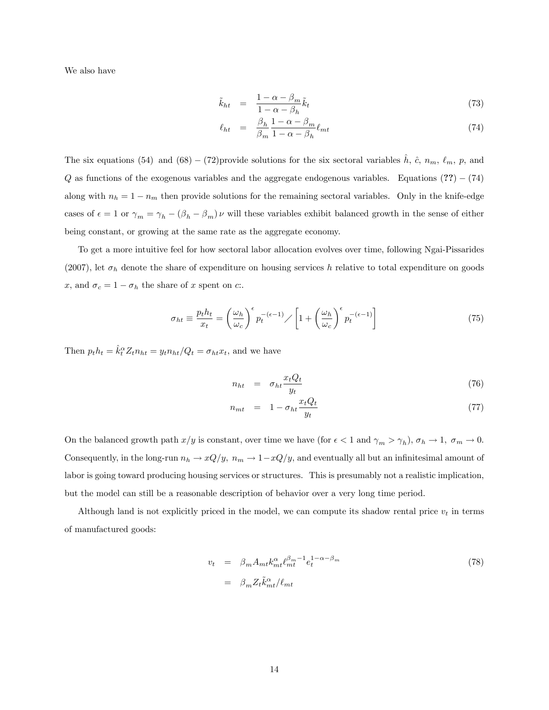We also have

$$
\tilde{k}_{ht} = \frac{1 - \alpha - \beta_m}{1 - \alpha - \beta_h} \tilde{k}_t \tag{73}
$$

$$
\ell_{ht} = \frac{\beta_h}{\beta_m} \frac{1 - \alpha - \beta_m}{1 - \alpha - \beta_h} \ell_{mt} \tag{74}
$$

The six equations (54) and (68) – (72)provide solutions for the six sectoral variables  $\hat{h}$ ,  $\hat{c}$ ,  $n_m$ ,  $\ell_m$ ,  $p$ , and  $Q$  as functions of the exogenous variables and the aggregate endogenous variables. Equations  $(?) - (74)$ along with  $n_h = 1 - n_m$  then provide solutions for the remaining sectoral variables. Only in the knife-edge cases of  $\epsilon = 1$  or  $\gamma_m = \gamma_h - (\beta_h - \beta_m)\nu$  will these variables exhibit balanced growth in the sense of either being constant, or growing at the same rate as the aggregate economy.

To get a more intuitive feel for how sectoral labor allocation evolves over time, following Ngai-Pissarides (2007), let  $\sigma_h$  denote the share of expenditure on housing services h relative to total expenditure on goods x, and  $\sigma_c = 1 - \sigma_h$  the share of x spent on c:.

$$
\sigma_{ht} \equiv \frac{p_t h_t}{x_t} = \left(\frac{\omega_h}{\omega_c}\right)^{\epsilon} p_t^{-(\epsilon - 1)} / \left[1 + \left(\frac{\omega_h}{\omega_c}\right)^{\epsilon} p_t^{-(\epsilon - 1)}\right]
$$
\n(75)

Then  $p_t h_t = \hat{k}_t^{\alpha} Z_t n_{ht} = y_t n_{ht}/Q_t = \sigma_{ht} x_t$ , and we have

$$
n_{ht} = \sigma_{ht} \frac{x_t Q_t}{y_t} \tag{76}
$$

$$
n_{mt} = 1 - \sigma_{ht} \frac{x_t Q_t}{y_t} \tag{77}
$$

On the balanced growth path  $x/y$  is constant, over time we have (for  $\epsilon < 1$  and  $\gamma_m > \gamma_h$ ),  $\sigma_h \to 1$ ,  $\sigma_m \to 0$ . Consequently, in the long-run  $n_h \to xQ/y$ ,  $n_m \to 1-xQ/y$ , and eventually all but an infinitesimal amount of labor is going toward producing housing services or structures. This is presumably not a realistic implication, but the model can still be a reasonable description of behavior over a very long time period.

Although land is not explicitly priced in the model, we can compute its shadow rental price  $v_t$  in terms of manufactured goods:

$$
v_t = \beta_m A_{mt} k_{mt}^{\alpha} \ell_{mt}^{\beta_m - 1} e_t^{1 - \alpha - \beta_m}
$$
  

$$
= \beta_m Z_t \tilde{k}_{mt}^{\alpha} / \ell_{mt}
$$
 (78)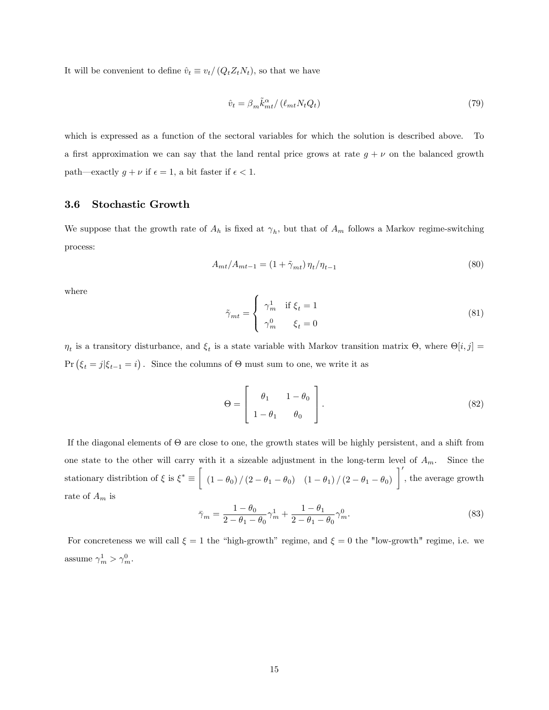It will be convenient to define  $\hat{v}_t \equiv v_t/(Q_tZ_tN_t)$ , so that we have

$$
\hat{v}_t = \beta_m \tilde{k}_{mt}^{\alpha} / (\ell_{mt} N_t Q_t) \tag{79}
$$

which is expressed as a function of the sectoral variables for which the solution is described above. To a first approximation we can say that the land rental price grows at rate  $g + \nu$  on the balanced growth path—exactly  $g + \nu$  if  $\epsilon = 1$ , a bit faster if  $\epsilon < 1$ .

### 3.6 Stochastic Growth

We suppose that the growth rate of  $A_h$  is fixed at  $\gamma_h$ , but that of  $A_m$  follows a Markov regime-switching process:

$$
A_{mt}/A_{mt-1} = (1 + \tilde{\gamma}_{mt}) \eta_t / \eta_{t-1}
$$
\n(80)

where

$$
\tilde{\gamma}_{mt} = \begin{cases} \gamma_m^1 & \text{if } \xi_t = 1 \\ \gamma_m^0 & \xi_t = 0 \end{cases}
$$
\n(81)

 $\eta_t$  is a transitory disturbance, and  $\xi_t$  is a state variable with Markov transition matrix  $\Theta$ , where  $\Theta[i, j] =$  $Pr(\xi_t = j | \xi_{t-1} = i)$ . Since the columns of  $\Theta$  must sum to one, we write it as

$$
\Theta = \begin{bmatrix} \theta_1 & 1 - \theta_0 \\ 1 - \theta_1 & \theta_0 \end{bmatrix} . \tag{82}
$$

If the diagonal elements of  $\Theta$  are close to one, the growth states will be highly persistent, and a shift from one state to the other will carry with it a sizeable adjustment in the long-term level of  $A_m$ . Since the stationary distribtion of  $\xi$  is  $\xi^* \equiv$  $\sqrt{ }$  $(1 - \theta_0) / (2 - \theta_1 - \theta_0)$   $(1 - \theta_1) / (2 - \theta_1 - \theta_0)$ '٦ , the average growth rate of  $\mathcal{A}_m$  is

$$
\bar{\gamma}_m = \frac{1 - \theta_0}{2 - \theta_1 - \theta_0} \gamma_m^1 + \frac{1 - \theta_1}{2 - \theta_1 - \theta_0} \gamma_m^0.
$$
\n(83)

For concreteness we will call  $\xi = 1$  the "high-growth" regime, and  $\xi = 0$  the "low-growth" regime, i.e. we assume  $\gamma_m^1 > \gamma_m^0$ .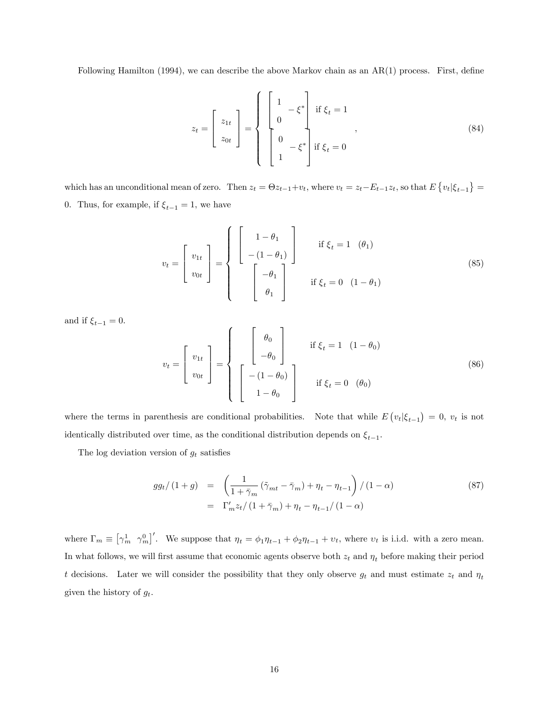Following Hamilton (1994), we can describe the above Markov chain as an  $AR(1)$  process. First, define

$$
z_{t} = \begin{bmatrix} z_{1t} \\ z_{0t} \end{bmatrix} = \begin{cases} \begin{bmatrix} 1 & -\xi^{*} \\ 0 & \xi_{t} = 1 \\ 0 & -\xi^{*} \end{bmatrix} & \text{if } \xi_{t} = 0 \\ 1 & \text{if } \xi_{t} = 0 \end{cases}
$$
 (84)

which has an unconditional mean of zero. Then  $z_t = \Theta z_{t-1} + v_t$ , where  $v_t = z_t - E_{t-1}z_t$ , so that  $E\{v_t|\xi_{t-1}\}$ 0. Thus, for example, if  $\xi_{t-1} = 1,$  we have

$$
v_t = \begin{bmatrix} v_{1t} \\ v_{0t} \end{bmatrix} = \begin{cases} \begin{bmatrix} 1 - \theta_1 \\ -(1 - \theta_1) \end{bmatrix} & \text{if } \xi_t = 1 \quad (\theta_1) \\ \begin{bmatrix} -\theta_1 \\ \theta_1 \end{bmatrix} & \text{if } \xi_t = 0 \quad (1 - \theta_1) \end{cases}
$$
 (85)

and if  $\xi_{t-1} = 0$ .

$$
v_t = \begin{bmatrix} v_{1t} \\ v_{0t} \end{bmatrix} = \begin{cases} \begin{bmatrix} \theta_0 \\ -\theta_0 \end{bmatrix} & \text{if } \xi_t = 1 \ (1 - \theta_0) \\ \begin{bmatrix} -(1 - \theta_0) \\ 1 - \theta_0 \end{bmatrix} & \text{if } \xi_t = 0 \ (\theta_0) \end{cases}
$$
 (86)

where the terms in parenthesis are conditional probabilities. Note that while  $E(v_t|\xi_{t-1}) = 0$ ,  $v_t$  is not identically distributed over time, as the conditional distribution depends on  $\xi_{t-1}$ .

The log deviation version of  $g_t$  satisfies

$$
gg_t/(1+g) = \left(\frac{1}{1+\bar{\gamma}_m}(\tilde{\gamma}_{mt}-\bar{\gamma}_m)+\eta_t-\eta_{t-1}\right)/(1-\alpha)
$$
  
=  $\Gamma'_m z_t/(1+\bar{\gamma}_m)+\eta_t-\eta_{t-1}/(1-\alpha)$  (87)

where  $\Gamma_m \equiv \left[\gamma_m^1 \gamma_m^0\right]'$ . We suppose that  $\eta_t = \phi_1 \eta_{t-1} + \phi_2 \eta_{t-1} + \nu_t$ , where  $\nu_t$  is i.i.d. with a zero mean. In what follows, we will first assume that economic agents observe both  $z_t$  and  $\eta_t$  before making their period t decisions. Later we will consider the possibility that they only observe  $g_t$  and must estimate  $z_t$  and  $\eta_t$ given the history of  $g_t$ .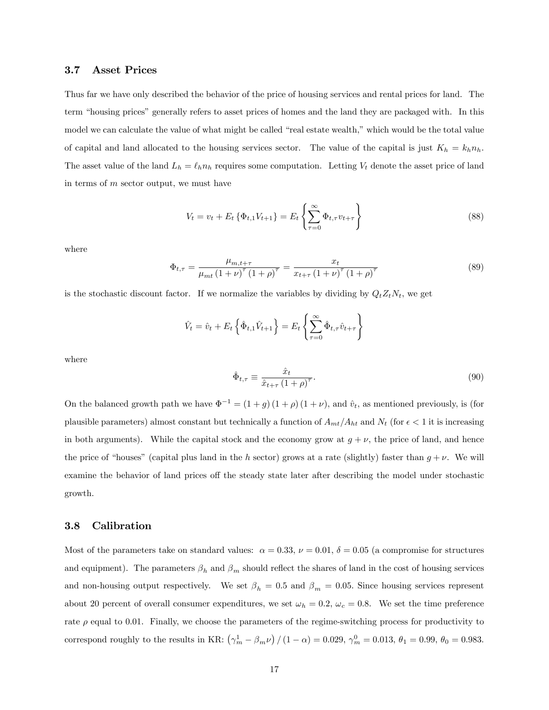#### 3.7 Asset Prices

Thus far we have only described the behavior of the price of housing services and rental prices for land. The term "housing prices" generally refers to asset prices of homes and the land they are packaged with. In this model we can calculate the value of what might be called "real estate wealth," which would be the total value of capital and land allocated to the housing services sector. The value of the capital is just  $K_h = k_h n_h$ . The asset value of the land  $L_h = \ell_h n_h$  requires some computation. Letting  $V_t$  denote the asset price of land in terms of m sector output, we must have

$$
V_t = v_t + E_t \{ \Phi_{t,1} V_{t+1} \} = E_t \left\{ \sum_{\tau=0}^{\infty} \Phi_{t,\tau} v_{t+\tau} \right\}
$$
 (88)

where

$$
\Phi_{t,\tau} = \frac{\mu_{m,t+\tau}}{\mu_{mt} (1+\nu)^{\tau} (1+\rho)^{\tau}} = \frac{x_t}{x_{t+\tau} (1+\nu)^{\tau} (1+\rho)^{\tau}}
$$
(89)

is the stochastic discount factor. If we normalize the variables by dividing by  $Q_tZ_tN_t$ , we get

$$
\hat{V}_t = \hat{v}_t + E_t \left\{ \hat{\Phi}_{t,1} \hat{V}_{t+1} \right\} = E_t \left\{ \sum_{\tau=0}^{\infty} \hat{\Phi}_{t,\tau} \hat{v}_{t+\tau} \right\}
$$

where

$$
\hat{\Phi}_{t,\tau} \equiv \frac{\hat{x}_t}{\hat{x}_{t+\tau} \left(1+\rho\right)^{\tau}}.\tag{90}
$$

On the balanced growth path we have  $\Phi^{-1} = (1 + g)(1 + \rho)(1 + \nu)$ , and  $\hat{v}_t$ , as mentioned previously, is (for plausible parameters) almost constant but technically a function of  $A_{mt}/A_{ht}$  and  $N_t$  (for  $\epsilon < 1$  it is increasing in both arguments). While the capital stock and the economy grow at  $g + \nu$ , the price of land, and hence the price of "houses" (capital plus land in the h sector) grows at a rate (slightly) faster than  $g + \nu$ . We will examine the behavior of land prices off the steady state later after describing the model under stochastic growth.

#### 3.8 Calibration

Most of the parameters take on standard values:  $\alpha = 0.33$ ,  $\nu = 0.01$ ,  $\delta = 0.05$  (a compromise for structures and equipment). The parameters  $\beta_h$  and  $\beta_m$  should reflect the shares of land in the cost of housing services and non-housing output respectively. We set  $\beta_h = 0.5$  and  $\beta_m = 0.05$ . Since housing services represent about 20 percent of overall consumer expenditures, we set  $\omega_h = 0.2$ ,  $\omega_c = 0.8$ . We set the time preference rate  $\rho$  equal to 0.01. Finally, we choose the parameters of the regime-switching process for productivity to correspond roughly to the results in KR:  $(\gamma_m^1 - \beta_m \nu) / (1 - \alpha) = 0.029$ ,  $\gamma_m^0 = 0.013$ ,  $\theta_1 = 0.99$ ,  $\theta_0 = 0.983$ .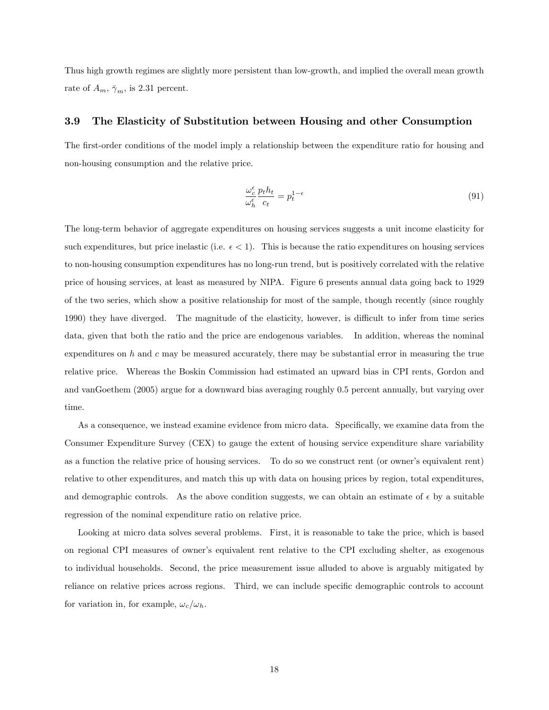Thus high growth regimes are slightly more persistent than low-growth, and implied the overall mean growth rate of  $A_m$ ,  $\bar{\gamma}_m$ , is 2.31 percent.

#### 3.9 The Elasticity of Substitution between Housing and other Consumption

The first-order conditions of the model imply a relationship between the expenditure ratio for housing and non-housing consumption and the relative price.

$$
\frac{\omega_c^{\epsilon}}{\omega_h^{\epsilon}} \frac{p_t h_t}{c_t} = p_t^{1-\epsilon} \tag{91}
$$

The long-term behavior of aggregate expenditures on housing services suggests a unit income elasticity for such expenditures, but price inelastic (i.e.  $\epsilon < 1$ ). This is because the ratio expenditures on housing services to non-housing consumption expenditures has no long-run trend, but is positively correlated with the relative price of housing services, at least as measured by NIPA. Figure 6 presents annual data going back to 1929 of the two series, which show a positive relationship for most of the sample, though recently (since roughly 1990) they have diverged. The magnitude of the elasticity, however, is difficult to infer from time series data, given that both the ratio and the price are endogenous variables. In addition, whereas the nominal expenditures on  $h$  and  $c$  may be measured accurately, there may be substantial error in measuring the true relative price. Whereas the Boskin Commission had estimated an upward bias in CPI rents, Gordon and and vanGoethem (2005) argue for a downward bias averaging roughly 0.5 percent annually, but varying over time.

As a consequence, we instead examine evidence from micro data. Specifically, we examine data from the Consumer Expenditure Survey (CEX) to gauge the extent of housing service expenditure share variability as a function the relative price of housing services. To do so we construct rent (or ownerís equivalent rent) relative to other expenditures, and match this up with data on housing prices by region, total expenditures, and demographic controls. As the above condition suggests, we can obtain an estimate of  $\epsilon$  by a suitable regression of the nominal expenditure ratio on relative price.

Looking at micro data solves several problems. First, it is reasonable to take the price, which is based on regional CPI measures of ownerís equivalent rent relative to the CPI excluding shelter, as exogenous to individual households. Second, the price measurement issue alluded to above is arguably mitigated by reliance on relative prices across regions. Third, we can include specific demographic controls to account for variation in, for example,  $\omega_c/\omega_h$ .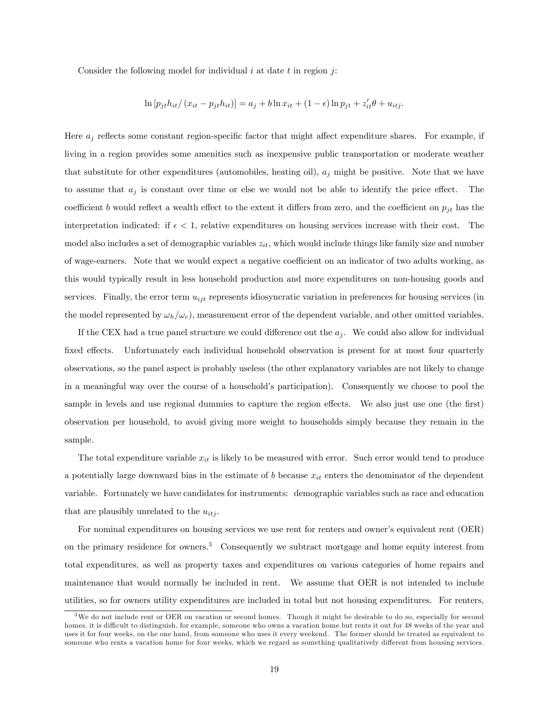Consider the following model for individual  $i$  at date  $t$  in region  $j$ :

$$
\ln [p_{jt}h_{it} / (x_{it} - p_{jt}h_{it})] = a_j + b \ln x_{it} + (1 - \epsilon) \ln p_{jt} + z'_{it}\theta + u_{itj}.
$$

Here  $a_j$  reflects some constant region-specific factor that might affect expenditure shares. For example, if living in a region provides some amenities such as inexpensive public transportation or moderate weather that substitute for other expenditures (automobiles, heating oil),  $a_j$  might be positive. Note that we have to assume that  $a_i$  is constant over time or else we would not be able to identify the price effect. The coefficient b would reflect a wealth effect to the extent it differs from zero, and the coefficient on  $p_{jt}$  has the interpretation indicated: if  $\epsilon < 1$ , relative expenditures on housing services increase with their cost. The model also includes a set of demographic variables  $z_{it}$ , which would include things like family size and number of wage-earners. Note that we would expect a negative coefficient on an indicator of two adults working, as this would typically result in less household production and more expenditures on non-housing goods and services. Finally, the error term  $u_{ijt}$  represents idiosyncratic variation in preferences for housing services (in the model represented by  $\omega_h/\omega_c$ , measurement error of the dependent variable, and other omitted variables.

If the CEX had a true panel structure we could difference out the  $a_j$ . We could also allow for individual fixed effects. Unfortunately each individual household observation is present for at most four quarterly observations, so the panel aspect is probably useless (the other explanatory variables are not likely to change in a meaningful way over the course of a household's participation). Consequently we choose to pool the sample in levels and use regional dummies to capture the region effects. We also just use one (the first) observation per household, to avoid giving more weight to households simply because they remain in the sample.

The total expenditure variable  $x_{it}$  is likely to be measured with error. Such error would tend to produce a potentially large downward bias in the estimate of b because  $x_{it}$  enters the denominator of the dependent variable. Fortunately we have candidates for instruments: demographic variables such as race and education that are plausibly unrelated to the  $u_{itj}$ .

For nominal expenditures on housing services we use rent for renters and owner's equivalent rent (OER) on the primary residence for owners.<sup>3</sup> Consequently we subtract mortgage and home equity interest from total expenditures, as well as property taxes and expenditures on various categories of home repairs and maintenance that would normally be included in rent. We assume that OER is not intended to include utilities, so for owners utility expenditures are included in total but not housing expenditures. For renters,

<sup>&</sup>lt;sup>3</sup>We do not include rent or OER on vacation or second homes. Though it might be desirable to do so, especially for second homes, it is difficult to distinguish, for example, someone who owns a vacation home but rents it out for 48 weeks of the year and uses it for four weeks, on the one hand, from someone who uses it every weekend. The former should be treated as equivalent to someone who rents a vacation home for four weeks, which we regard as something qualitatively different from housing services.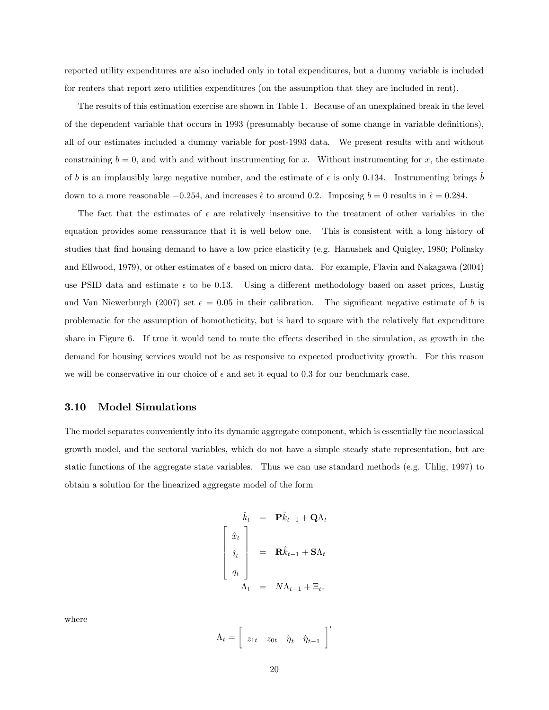reported utility expenditures are also included only in total expenditures, but a dummy variable is included for renters that report zero utilities expenditures (on the assumption that they are included in rent).

The results of this estimation exercise are shown in Table 1. Because of an unexplained break in the level of the dependent variable that occurs in 1993 (presumably because of some change in variable definitions), all of our estimates included a dummy variable for post-1993 data. We present results with and without constraining  $b = 0$ , and with and without instrumenting for x. Without instrumenting for x, the estimate of b is an implausibly large negative number, and the estimate of  $\epsilon$  is only 0.134. Instrumenting brings b down to a more reasonable  $-0.254$ , and increases  $\hat{\epsilon}$  to around 0.2. Imposing  $b = 0$  results in  $\hat{\epsilon} = 0.284$ .

The fact that the estimates of  $\epsilon$  are relatively insensitive to the treatment of other variables in the equation provides some reassurance that it is well below one. This is consistent with a long history of studies that find housing demand to have a low price elasticity (e.g. Hanushek and Quigley, 1980; Polinsky and Ellwood, 1979), or other estimates of  $\epsilon$  based on micro data. For example, Flavin and Nakagawa (2004) use PSID data and estimate  $\epsilon$  to be 0.13. Using a different methodology based on asset prices, Lustig and Van Niewerburgh (2007) set  $\epsilon = 0.05$  in their calibration. The significant negative estimate of b is problematic for the assumption of homotheticity, but is hard to square with the relatively flat expenditure share in Figure 6. If true it would tend to mute the effects described in the simulation, as growth in the demand for housing services would not be as responsive to expected productivity growth. For this reason we will be conservative in our choice of  $\epsilon$  and set it equal to 0.3 for our benchmark case.

#### 3.10 Model Simulations

The model separates conveniently into its dynamic aggregate component, which is essentially the neoclassical growth model, and the sectoral variables, which do not have a simple steady state representation, but are static functions of the aggregate state variables. Thus we can use standard methods (e.g. Uhlig, 1997) to obtain a solution for the linearized aggregate model of the form

$$
\begin{aligned}\n\hat{k}_t &= \mathbf{P}\hat{k}_{t-1} + \mathbf{Q}\Lambda_t \\
\hat{i}_t \\
q_t &= \mathbf{R}\hat{k}_{t-1} + \mathbf{S}\Lambda_t \\
q_t &= N\Lambda_{t-1} + \Xi_t.\n\end{aligned}
$$

where

$$
\Lambda_t = \left[ \begin{array}{cc} z_{1t} & z_{0t} & \hat{\eta}_t & \hat{\eta}_{t-1} \end{array} \right]'
$$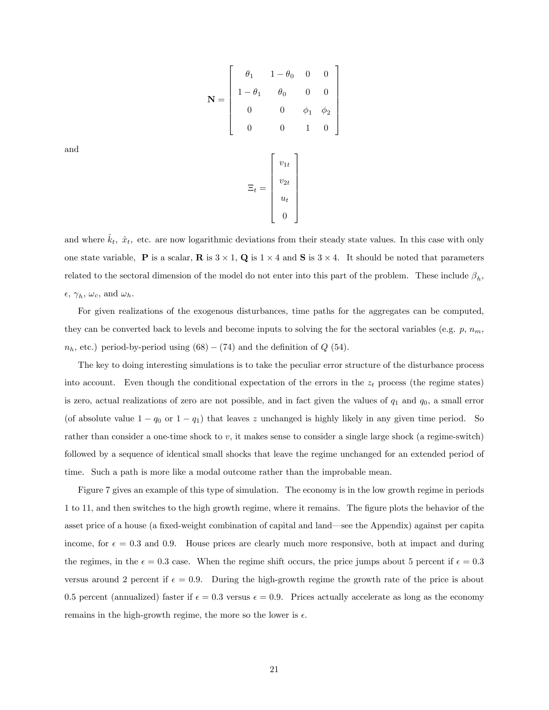$$
\mathbf{N} = \begin{bmatrix} \theta_1 & 1 - \theta_0 & 0 & 0 \\ 1 - \theta_1 & \theta_0 & 0 & 0 \\ 0 & 0 & \phi_1 & \phi_2 \\ 0 & 0 & 1 & 0 \end{bmatrix}
$$

$$
\Xi_t = \begin{bmatrix} v_{1t} \\ v_{2t} \\ u_t \\ 0 \end{bmatrix}
$$

and

and where  $k_t$ ,  $\hat{x}_t$ , etc. are now logarithmic deviations from their steady state values. In this case with only one state variable, **P** is a scalar, **R** is  $3 \times 1$ , **Q** is  $1 \times 4$  and **S** is  $3 \times 4$ . It should be noted that parameters related to the sectoral dimension of the model do not enter into this part of the problem. These include  $\beta_h$ ,  $\epsilon, \gamma_h, \omega_c$ , and  $\omega_h$ .

For given realizations of the exogenous disturbances, time paths for the aggregates can be computed, they can be converted back to levels and become inputs to solving the for the sectoral variables (e.g.  $p, n_m$ )  $n_h$ , etc.) period-by-period using  $(68) - (74)$  and the definition of  $Q$  (54).

The key to doing interesting simulations is to take the peculiar error structure of the disturbance process into account. Even though the conditional expectation of the errors in the  $z_t$  process (the regime states) is zero, actual realizations of zero are not possible, and in fact given the values of  $q_1$  and  $q_0$ , a small error (of absolute value  $1 - q_0$  or  $1 - q_1$ ) that leaves z unchanged is highly likely in any given time period. So rather than consider a one-time shock to  $v$ , it makes sense to consider a single large shock (a regime-switch) followed by a sequence of identical small shocks that leave the regime unchanged for an extended period of time. Such a path is more like a modal outcome rather than the improbable mean.

Figure 7 gives an example of this type of simulation. The economy is in the low growth regime in periods 1 to 11, and then switches to the high growth regime, where it remains. The figure plots the behavior of the asset price of a house (a fixed-weight combination of capital and land—see the Appendix) against per capita income, for  $\epsilon = 0.3$  and 0.9. House prices are clearly much more responsive, both at impact and during the regimes, in the  $\epsilon = 0.3$  case. When the regime shift occurs, the price jumps about 5 percent if  $\epsilon = 0.3$ versus around 2 percent if  $\epsilon = 0.9$ . During the high-growth regime the growth rate of the price is about 0.5 percent (annualized) faster if  $\epsilon = 0.3$  versus  $\epsilon = 0.9$ . Prices actually accelerate as long as the economy remains in the high-growth regime, the more so the lower is  $\epsilon$ .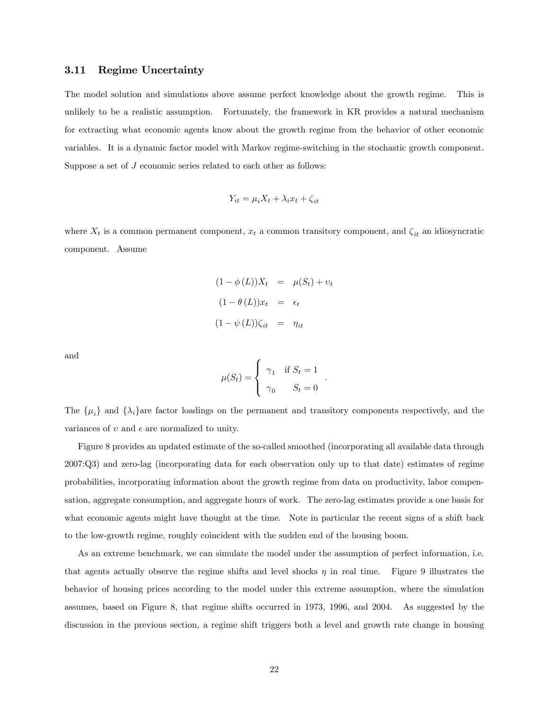#### 3.11 Regime Uncertainty

The model solution and simulations above assume perfect knowledge about the growth regime. This is unlikely to be a realistic assumption. Fortunately, the framework in KR provides a natural mechanism for extracting what economic agents know about the growth regime from the behavior of other economic variables. It is a dynamic factor model with Markov regime-switching in the stochastic growth component. Suppose a set of J economic series related to each other as follows:

$$
Y_{it} = \mu_i X_t + \lambda_i x_t + \zeta_{it}
$$

where  $X_t$  is a common permanent component,  $x_t$  a common transitory component, and  $\zeta_{it}$  an idiosyncratic component. Assume

$$
(1 - \phi(L))X_t = \mu(S_t) + v_t
$$

$$
(1 - \theta(L))x_t = \epsilon_t
$$

$$
(1 - \psi(L))\zeta_{it} = \eta_{it}
$$

and

$$
\mu(S_t) = \begin{cases} \gamma_1 & \text{if } S_t = 1 \\ \gamma_0 & S_t = 0 \end{cases}.
$$

The  $\{\mu_i\}$  and  $\{\lambda_i\}$  are factor loadings on the permanent and transitory components respectively, and the variances of  $v$  and  $\epsilon$  are normalized to unity.

Figure 8 provides an updated estimate of the so-called smoothed (incorporating all available data through 2007:Q3) and zero-lag (incorporating data for each observation only up to that date) estimates of regime probabilities, incorporating information about the growth regime from data on productivity, labor compensation, aggregate consumption, and aggregate hours of work. The zero-lag estimates provide a one basis for what economic agents might have thought at the time. Note in particular the recent signs of a shift back to the low-growth regime, roughly coincident with the sudden end of the housing boom.

As an extreme benchmark, we can simulate the model under the assumption of perfect information, i.e. that agents actually observe the regime shifts and level shocks  $\eta$  in real time. Figure 9 illustrates the behavior of housing prices according to the model under this extreme assumption, where the simulation assumes, based on Figure 8, that regime shifts occurred in 1973, 1996, and 2004. As suggested by the discussion in the previous section, a regime shift triggers both a level and growth rate change in housing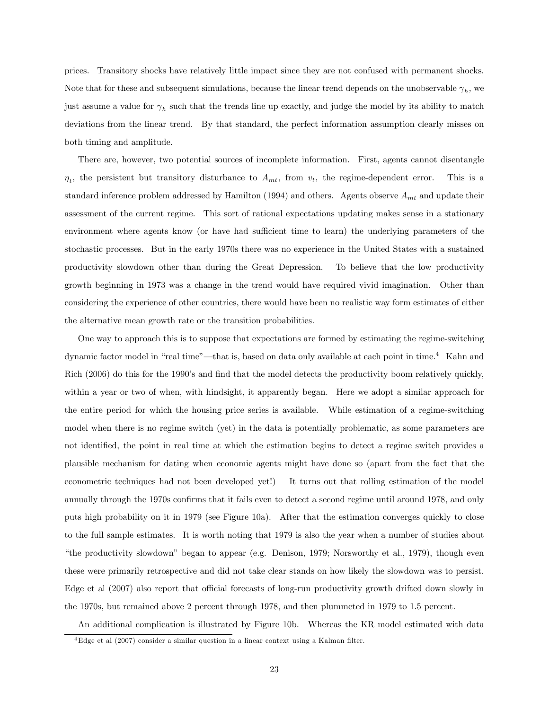prices. Transitory shocks have relatively little impact since they are not confused with permanent shocks. Note that for these and subsequent simulations, because the linear trend depends on the unobservable  $\gamma_h$ , we just assume a value for  $\gamma_h$  such that the trends line up exactly, and judge the model by its ability to match deviations from the linear trend. By that standard, the perfect information assumption clearly misses on both timing and amplitude.

There are, however, two potential sources of incomplete information. First, agents cannot disentangle  $\eta_t$ , the persistent but transitory disturbance to  $A_{mt}$ , from  $v_t$ , the regime-dependent error. This is a standard inference problem addressed by Hamilton (1994) and others. Agents observe  $A_{mt}$  and update their assessment of the current regime. This sort of rational expectations updating makes sense in a stationary environment where agents know (or have had sufficient time to learn) the underlying parameters of the stochastic processes. But in the early 1970s there was no experience in the United States with a sustained productivity slowdown other than during the Great Depression. To believe that the low productivity growth beginning in 1973 was a change in the trend would have required vivid imagination. Other than considering the experience of other countries, there would have been no realistic way form estimates of either the alternative mean growth rate or the transition probabilities.

One way to approach this is to suppose that expectations are formed by estimating the regime-switching dynamic factor model in "real time"—that is, based on data only available at each point in time.<sup>4</sup> Kahn and Rich (2006) do this for the 1990's and find that the model detects the productivity boom relatively quickly, within a year or two of when, with hindsight, it apparently began. Here we adopt a similar approach for the entire period for which the housing price series is available. While estimation of a regime-switching model when there is no regime switch (yet) in the data is potentially problematic, as some parameters are not identified, the point in real time at which the estimation begins to detect a regime switch provides a plausible mechanism for dating when economic agents might have done so (apart from the fact that the econometric techniques had not been developed yet!) It turns out that rolling estimation of the model annually through the 1970s confirms that it fails even to detect a second regime until around 1978, and only puts high probability on it in 1979 (see Figure 10a). After that the estimation converges quickly to close to the full sample estimates. It is worth noting that 1979 is also the year when a number of studies about "the productivity slowdown" began to appear (e.g. Denison, 1979; Norsworthy et al., 1979), though even these were primarily retrospective and did not take clear stands on how likely the slowdown was to persist. Edge et al (2007) also report that official forecasts of long-run productivity growth drifted down slowly in the 1970s, but remained above 2 percent through 1978, and then plummeted in 1979 to 1.5 percent.

An additional complication is illustrated by Figure 10b. Whereas the KR model estimated with data

 $4E$ dge et al (2007) consider a similar question in a linear context using a Kalman filter.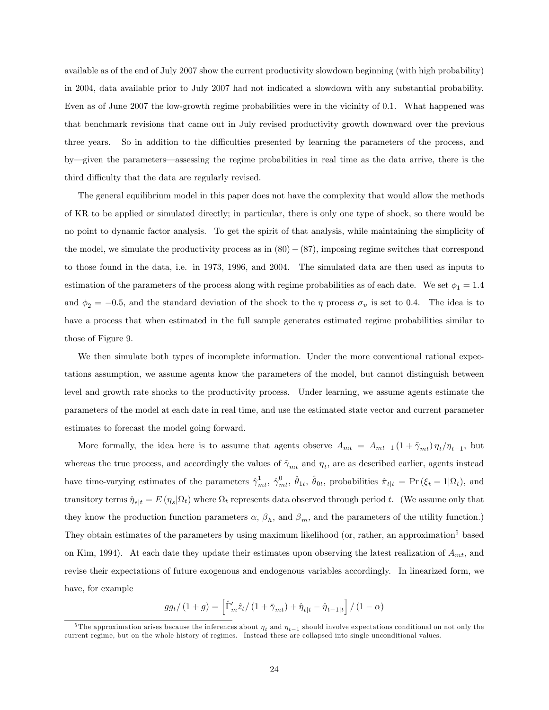available as of the end of July 2007 show the current productivity slowdown beginning (with high probability) in 2004, data available prior to July 2007 had not indicated a slowdown with any substantial probability. Even as of June 2007 the low-growth regime probabilities were in the vicinity of 0.1. What happened was that benchmark revisions that came out in July revised productivity growth downward over the previous three years. So in addition to the difficulties presented by learning the parameters of the process, and by—given the parameters—assessing the regime probabilities in real time as the data arrive, there is the third difficulty that the data are regularly revised.

The general equilibrium model in this paper does not have the complexity that would allow the methods of KR to be applied or simulated directly; in particular, there is only one type of shock, so there would be no point to dynamic factor analysis. To get the spirit of that analysis, while maintaining the simplicity of the model, we simulate the productivity process as in  $(80) - (87)$ , imposing regime switches that correspond to those found in the data, i.e. in 1973, 1996, and 2004. The simulated data are then used as inputs to estimation of the parameters of the process along with regime probabilities as of each date. We set  $\phi_1 = 1.4$ and  $\phi_2 = -0.5$ , and the standard deviation of the shock to the  $\eta$  process  $\sigma_v$  is set to 0.4. The idea is to have a process that when estimated in the full sample generates estimated regime probabilities similar to those of Figure 9.

We then simulate both types of incomplete information. Under the more conventional rational expectations assumption, we assume agents know the parameters of the model, but cannot distinguish between level and growth rate shocks to the productivity process. Under learning, we assume agents estimate the parameters of the model at each date in real time, and use the estimated state vector and current parameter estimates to forecast the model going forward.

More formally, the idea here is to assume that agents observe  $A_{mt} = A_{mt-1} (1 + \tilde{\gamma}_{mt}) \eta_t / \eta_{t-1}$ , but whereas the true process, and accordingly the values of  $\tilde{\gamma}_{mt}$  and  $\eta_t$ , are as described earlier, agents instead have time-varying estimates of the parameters  $\hat{\gamma}^1_{mt}$ ,  $\hat{\gamma}^0_{mt}$ ,  $\hat{\theta}_{1t}$ ,  $\hat{\theta}_{0t}$ , probabilities  $\hat{\pi}_{t|t} = \Pr(\xi_t = 1 | \Omega_t)$ , and transitory terms  $\hat{\eta}_{s|t} = E (\eta_s | \Omega_t)$  where  $\Omega_t$  represents data observed through period t. (We assume only that they know the production function parameters  $\alpha$ ,  $\beta_h$ , and  $\beta_m$ , and the parameters of the utility function.) They obtain estimates of the parameters by using maximum likelihood (or, rather, an approximation<sup>5</sup> based on Kim, 1994). At each date they update their estimates upon observing the latest realization of  $A_{mt}$ , and revise their expectations of future exogenous and endogenous variables accordingly. In linearized form, we have, for example

$$
gg_{t}/(1+g) = \left[\hat{\Gamma}'_{m}\hat{z}_{t}/(1+\bar{\gamma}_{mt}) + \hat{\eta}_{t|t} - \hat{\eta}_{t-1|t}\right]/(1-\alpha)
$$

<sup>&</sup>lt;sup>5</sup>The approximation arises because the inferences about  $\eta_t$  and  $\eta_{t-1}$  should involve expectations conditional on not only the current regime, but on the whole history of regimes. Instead these are collapsed into single unconditional values.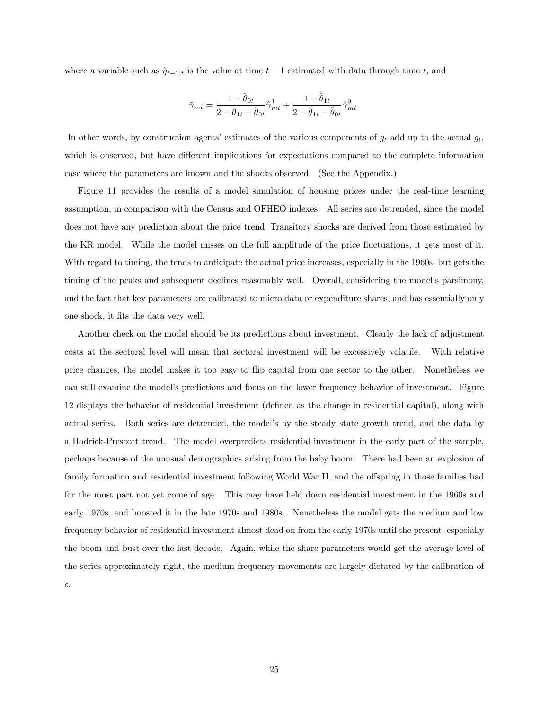where a variable such as  $\hat{\eta}_{t-1|t}$  is the value at time  $t-1$  estimated with data through time t, and

$$
\bar{\gamma}_{mt} = \frac{1 - \hat{\theta}_{0t}}{2 - \hat{\theta}_{1t} - \hat{\theta}_{0t}} \hat{\gamma}_{mt}^1 + \frac{1 - \hat{\theta}_{1t}}{2 - \hat{\theta}_{1t} - \hat{\theta}_{0t}} \hat{\gamma}_{mt}^0.
$$

In other words, by construction agents' estimates of the various components of  $g_t$  add up to the actual  $g_t$ , which is observed, but have different implications for expectations compared to the complete information case where the parameters are known and the shocks observed. (See the Appendix.)

Figure 11 provides the results of a model simulation of housing prices under the real-time learning assumption, in comparison with the Census and OFHEO indexes. All series are detrended, since the model does not have any prediction about the price trend. Transitory shocks are derived from those estimated by the KR model. While the model misses on the full amplitude of the price fluctuations, it gets most of it. With regard to timing, the tends to anticipate the actual price increases, especially in the 1960s, but gets the timing of the peaks and subsequent declines reasonably well. Overall, considering the model's parsimony, and the fact that key parameters are calibrated to micro data or expenditure shares, and has essentially only one shock, it Öts the data very well.

Another check on the model should be its predictions about investment. Clearly the lack of adjustment costs at the sectoral level will mean that sectoral investment will be excessively volatile. With relative price changes, the model makes it too easy to áip capital from one sector to the other. Nonetheless we can still examine the modelís predictions and focus on the lower frequency behavior of investment. Figure 12 displays the behavior of residential investment (deÖned as the change in residential capital), along with actual series. Both series are detrended, the modelís by the steady state growth trend, and the data by a Hodrick-Prescott trend. The model overpredicts residential investment in the early part of the sample, perhaps because of the unusual demographics arising from the baby boom: There had been an explosion of family formation and residential investment following World War II, and the offspring in those families had for the most part not yet come of age. This may have held down residential investment in the 1960s and early 1970s, and boosted it in the late 1970s and 1980s. Nonetheless the model gets the medium and low frequency behavior of residential investment almost dead on from the early 1970s until the present, especially the boom and bust over the last decade. Again, while the share parameters would get the average level of the series approximately right, the medium frequency movements are largely dictated by the calibration of  $\epsilon.$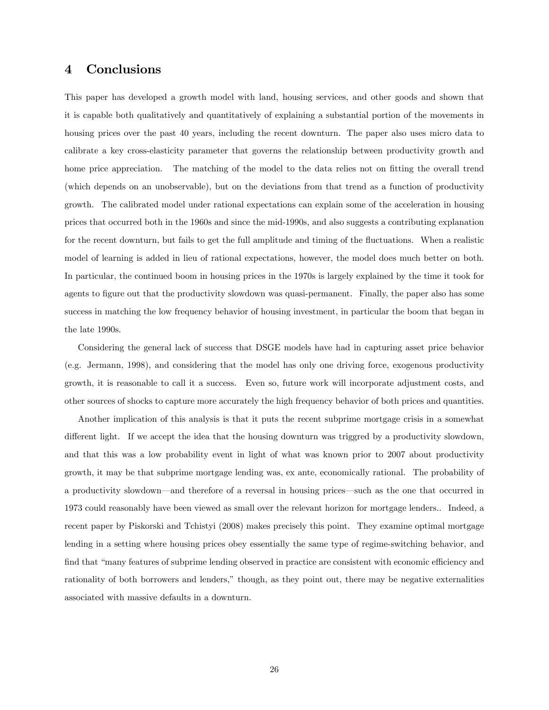# 4 Conclusions

This paper has developed a growth model with land, housing services, and other goods and shown that it is capable both qualitatively and quantitatively of explaining a substantial portion of the movements in housing prices over the past 40 years, including the recent downturn. The paper also uses micro data to calibrate a key cross-elasticity parameter that governs the relationship between productivity growth and home price appreciation. The matching of the model to the data relies not on fitting the overall trend (which depends on an unobservable), but on the deviations from that trend as a function of productivity growth. The calibrated model under rational expectations can explain some of the acceleration in housing prices that occurred both in the 1960s and since the mid-1990s, and also suggests a contributing explanation for the recent downturn, but fails to get the full amplitude and timing of the fluctuations. When a realistic model of learning is added in lieu of rational expectations, however, the model does much better on both. In particular, the continued boom in housing prices in the 1970s is largely explained by the time it took for agents to figure out that the productivity slowdown was quasi-permanent. Finally, the paper also has some success in matching the low frequency behavior of housing investment, in particular the boom that began in the late 1990s.

Considering the general lack of success that DSGE models have had in capturing asset price behavior (e.g. Jermann, 1998), and considering that the model has only one driving force, exogenous productivity growth, it is reasonable to call it a success. Even so, future work will incorporate adjustment costs, and other sources of shocks to capture more accurately the high frequency behavior of both prices and quantities.

Another implication of this analysis is that it puts the recent subprime mortgage crisis in a somewhat different light. If we accept the idea that the housing downturn was triggred by a productivity slowdown, and that this was a low probability event in light of what was known prior to 2007 about productivity growth, it may be that subprime mortgage lending was, ex ante, economically rational. The probability of a productivity slowdown—and therefore of a reversal in housing prices—such as the one that occurred in 1973 could reasonably have been viewed as small over the relevant horizon for mortgage lenders.. Indeed, a recent paper by Piskorski and Tchistyi (2008) makes precisely this point. They examine optimal mortgage lending in a setting where housing prices obey essentially the same type of regime-switching behavior, and find that "many features of subprime lending observed in practice are consistent with economic efficiency and rationality of both borrowers and lenders," though, as they point out, there may be negative externalities associated with massive defaults in a downturn.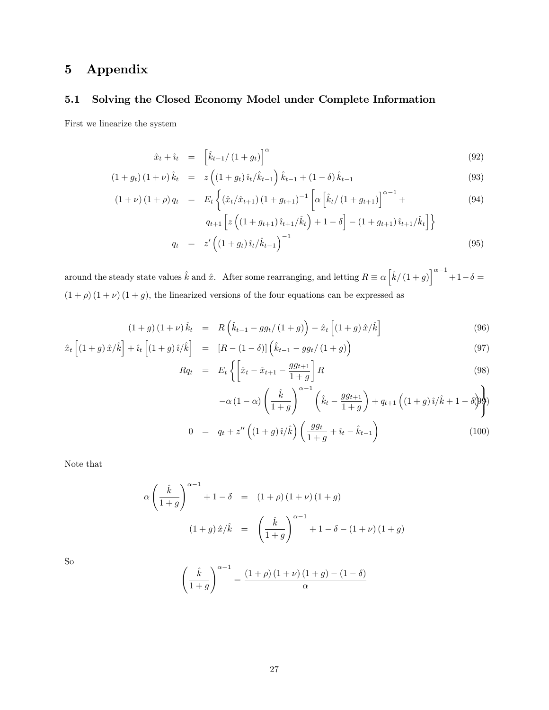# 5 Appendix

# 5.1 Solving the Closed Economy Model under Complete Information

First we linearize the system

$$
\hat{x}_t + \hat{i}_t = \left[ \hat{k}_{t-1} / \left( 1 + g_t \right) \right]^\alpha \tag{92}
$$

$$
(1+g_t)(1+\nu)\hat{k}_t = z\left((1+g_t)\hat{i}_t/\hat{k}_{t-1}\right)\hat{k}_{t-1} + (1-\delta)\hat{k}_{t-1}
$$
\n(93)

$$
(1+\nu)(1+\rho)q_t = E_t \left\{ (\hat{x}_t/\hat{x}_{t+1})(1+g_{t+1})^{-1} \left[ \alpha \left[ \hat{k}_t/(1+g_{t+1}) \right]^{\alpha-1} + \right. \right. \tag{94}
$$

$$
q_{t+1}\left[z\left((1+g_{t+1})\hat{i}_{t+1}/\hat{k}_t\right)+1-\delta\right] - (1+g_{t+1})\hat{i}_{t+1}/\hat{k}_t\right]
$$
  

$$
q_t = z'\left((1+g_t)\hat{i}_t/\hat{k}_{t-1}\right)^{-1}
$$
 (95)

around the steady state values  $\hat{k}$  and  $\hat{x}$ . After some rearranging, and letting  $R \equiv \alpha \left[\hat{k}/\left(1 + g\right)\right]^{\alpha - 1} + 1 - \delta =$  $(1 + \rho) (1 + \nu) (1 + g)$ , the linearized versions of the four equations can be expressed as

$$
(1+g)(1+\nu)\hat{k}_t = R\left(\hat{k}_{t-1} - gg_t/(1+g)\right) - \hat{x}_t\left[(1+g)\hat{x}/\hat{k}\right]
$$
\n(96)

$$
\hat{x}_t \left[ (1+g)\,\hat{x}/\hat{k} \right] + \hat{i}_t \left[ (1+g)\,\hat{i}/\hat{k} \right] = \left[ R - (1-\delta) \right] \left( \hat{k}_{t-1} - g g_t / (1+g) \right) \tag{97}
$$

$$
Rq_t = E_t \left\{ \left[ \hat{x}_t - \hat{x}_{t+1} - \frac{gg_{t+1}}{1+g} \right] R \right\} \tag{98}
$$

$$
-\alpha (1 - \alpha) \left(\frac{\hat{k}}{1+g}\right)^{\alpha-1} \left(\hat{k}_t - \frac{gg_{t+1}}{1+g}\right) + q_{t+1} \left((1+g)\hat{i}/\hat{k} + 1 - \delta\hat{j}\right)
$$

$$
= q_t + z'' \left((1+g)\hat{i}/\hat{k}\right) \left(\frac{gg_t}{1+g} + \hat{i}_t - \hat{k}_{t-1}\right) \tag{100}
$$

Note that

$$
\alpha \left( \frac{\hat{k}}{1+g} \right)^{\alpha-1} + 1 - \delta = (1+\rho)(1+\nu)(1+g)
$$
  

$$
(1+g)\,\hat{x}/\hat{k} = \left( \frac{\hat{k}}{1+g} \right)^{\alpha-1} + 1 - \delta - (1+\nu)(1+g)
$$

 $\boldsymbol{0}$ 

So

$$
\left(\frac{\hat{k}}{1+g}\right)^{\alpha-1} = \frac{(1+\rho)(1+\nu)(1+g) - (1-\delta)}{\alpha}
$$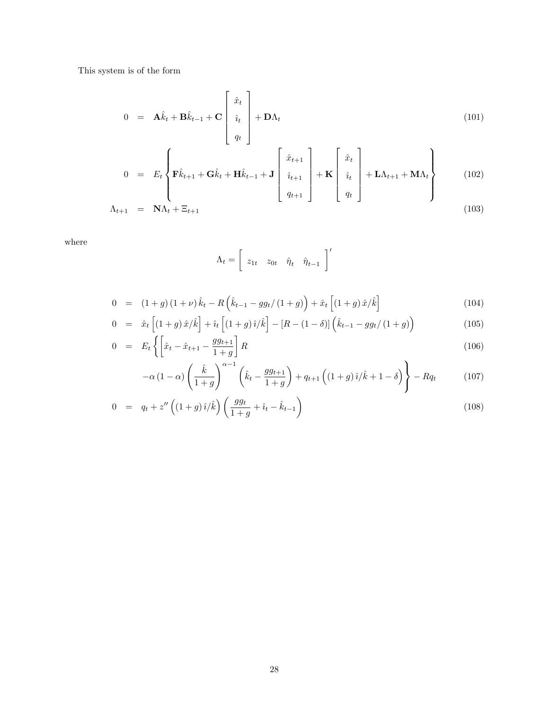This system is of the form

$$
0 = \mathbf{A}\hat{k}_t + \mathbf{B}\hat{k}_{t-1} + \mathbf{C} \begin{bmatrix} \hat{x}_t \\ \hat{i}_t \\ q_t \end{bmatrix} + \mathbf{D}\Lambda_t
$$
 (101)

$$
0 = E_t \left\{ \mathbf{F}\hat{k}_{t+1} + \mathbf{G}\hat{k}_t + \mathbf{H}\hat{k}_{t-1} + \mathbf{J} \begin{bmatrix} \hat{x}_{t+1} \\ \hat{i}_{t+1} \\ q_{t+1} \end{bmatrix} + \mathbf{K} \begin{bmatrix} \hat{x}_t \\ \hat{i}_t \\ q_t \end{bmatrix} + \mathbf{L}\Lambda_{t+1} + \mathbf{M}\Lambda_t \right\}
$$
(102)

$$
\Lambda_{t+1} = \mathbf{N}\Lambda_t + \Xi_{t+1} \tag{103}
$$

where

$$
\Lambda_t = \left[ \begin{array}{cc} z_{1t} & z_{0t} & \hat{\eta}_t & \hat{\eta}_{t-1} \end{array} \right]'
$$

$$
0 = (1+g)(1+\nu)\hat{k}_t - R\left(\hat{k}_{t-1} - gg_t/(1+g)\right) + \hat{x}_t\left[(1+g)\hat{x}/\hat{k}\right]
$$
\n(104)

$$
0 = \hat{x}_t \left[ (1+g)\,\hat{x}/\hat{k} \right] + \hat{i}_t \left[ (1+g)\,\hat{i}/\hat{k} \right] - \left[ R - (1-\delta) \right] \left( \hat{k}_{t-1} - gg_t / (1+g) \right) \tag{105}
$$

$$
0 = E_t \left\{ \left[ \hat{x}_t - \hat{x}_{t+1} - \frac{gg_{t+1}}{1+g} \right] R \right\} \tag{106}
$$

$$
-\alpha \left(1-\alpha\right) \left(\frac{\hat{k}}{1+g}\right)^{\alpha-1} \left(\hat{k}_t - \frac{gg_{t+1}}{1+g}\right) + q_{t+1} \left((1+g)\hat{i}/\hat{k} + 1 - \delta\right) \Bigg\} - Rq_t \tag{107}
$$

$$
0 = q_t + z'' \left( (1+g)\hat{i}/\hat{k} \right) \left( \frac{gg_t}{1+g} + \hat{i}_t - \hat{k}_{t-1} \right)
$$
\n(108)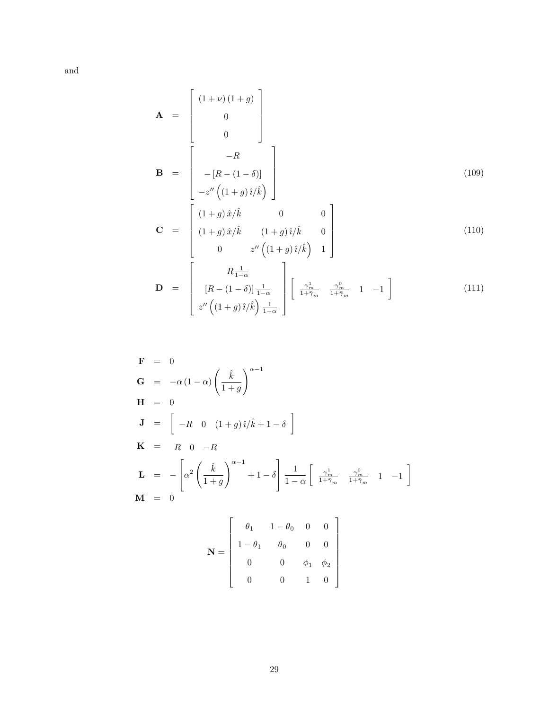and

$$
\mathbf{A} = \begin{bmatrix} (1+\nu)(1+g) \\ 0 \\ 0 \end{bmatrix}
$$

$$
\mathbf{B} = \begin{bmatrix} -R \\ -[R-(1-\delta)] \\ -z''((1+g)\hat{i}/\hat{k}) \end{bmatrix}
$$
(109)
$$
\mathbf{C} = \begin{bmatrix} (1+g)\hat{x}/\hat{k} & 0 & 0 \\ (1+g)\hat{x}/\hat{k} & (1+g)\hat{i}/\hat{k} & 0 \\ 0 & z''((1+s)\hat{i}/\hat{k}) & 1 \end{bmatrix}
$$
(110)

$$
\mathbf{C} = \begin{bmatrix} (1+g)\,\hat{x}/\hat{k} & (1+g)\,\hat{i}/\hat{k} & 0\\ 0 & z''\left((1+g)\,\hat{i}/\hat{k}\right) & 1 \end{bmatrix} \tag{110}
$$

$$
\mathbf{D} = \begin{bmatrix} R\frac{1}{1-\alpha} \\ [R - (1-\delta)]\frac{1}{1-\alpha} \\ z'' \left( (1+g)\hat{i}/\hat{k} \right) \frac{1}{1-\alpha} \end{bmatrix} \begin{bmatrix} \frac{\gamma_m^1}{1+\bar{\gamma}_m} & \frac{\gamma_m^0}{1+\bar{\gamma}_m} & 1 & -1 \end{bmatrix}
$$
(111)

$$
\mathbf{F} = 0
$$
\n
$$
\mathbf{G} = -\alpha (1 - \alpha) \left( \frac{\hat{k}}{1 + g} \right)^{\alpha - 1}
$$
\n
$$
\mathbf{H} = 0
$$
\n
$$
\mathbf{J} = \begin{bmatrix} -R & 0 & (1 + g)\hat{i}/\hat{k} + 1 - \delta \end{bmatrix}
$$
\n
$$
\mathbf{K} = R \quad 0 \quad -R
$$
\n
$$
\mathbf{L} = -\left[ \alpha^2 \left( \frac{\hat{k}}{1 + g} \right)^{\alpha - 1} + 1 - \delta \right] \frac{1}{1 - \alpha} \left[ \frac{\gamma_m^1}{1 + \tilde{\gamma}_m} \frac{\gamma_m^0}{1 + \tilde{\gamma}_m} \quad 1 \quad -1 \right]
$$
\n
$$
\mathbf{M} = 0
$$

$$
\mathbf{N} = \left[ \begin{array}{cccc} \theta_1 & 1 - \theta_0 & 0 & 0 \\ 1 - \theta_1 & \theta_0 & 0 & 0 \\ 0 & 0 & \phi_1 & \phi_2 \\ 0 & 0 & 1 & 0 \end{array} \right]
$$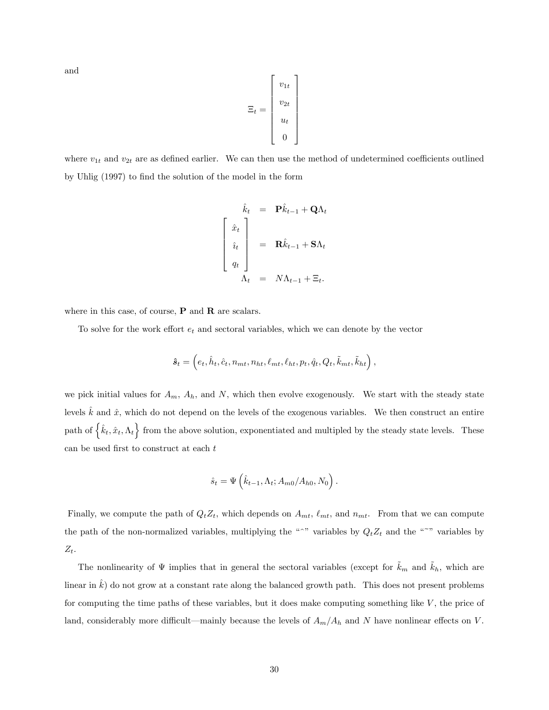and

$$
\Xi_t = \left[ \begin{array}{c} v_{1t} \\ v_{2t} \\ u_t \\ 0 \end{array} \right]
$$

where  $v_{1t}$  and  $v_{2t}$  are as defined earlier. We can then use the method of undetermined coefficients outlined by Uhlig (1997) to find the solution of the model in the form

$$
\hat{k}_t = \mathbf{P}\hat{k}_{t-1} + \mathbf{Q}\Lambda_t
$$
\n
$$
\begin{bmatrix}\n\hat{x}_t \\
\hat{i}_t \\
q_t\n\end{bmatrix} = \mathbf{R}\hat{k}_{t-1} + \mathbf{S}\Lambda_t
$$
\n
$$
\Lambda_t = N\Lambda_{t-1} + \Xi_t.
$$

where in this case, of course,  $P$  and  $R$  are scalars.

To solve for the work effort  $e_t$  and sectoral variables, which we can denote by the vector

$$
\hat{\pmb{s}}_t = \left(e_t, \hat{h}_t, \hat{c}_t, n_{mt}, n_{ht}, \ell_{mt}, \ell_{ht}, p_t, \hat{q}_t, Q_t, \tilde{k}_{mt}, \tilde{k}_{ht}\right),
$$

we pick initial values for  $A_m$ ,  $A_h$ , and N, which then evolve exogenously. We start with the steady state levels  $\hat{k}$  and  $\hat{x}$ , which do not depend on the levels of the exogenous variables. We then construct an entire path of  $\{\hat{k}_t, \hat{x}_t, \Lambda_t\}$  from the above solution, exponentiated and multipled by the steady state levels. These can be used first to construct at each  $t$ 

$$
\hat{s}_t = \Psi\left(\hat{k}_{t-1}, \Lambda_t; A_{m0}/A_{h0}, N_0\right).
$$

Finally, we compute the path of  $Q_t Z_t$ , which depends on  $A_{mt}$ ,  $\ell_{mt}$ , and  $n_{mt}$ . From that we can compute the path of the non-normalized variables, multiplying the " $\gamma$ " variables by  $Q_tZ_t$  and the " $\gamma$ " variables by  $Z_t$ .

The nonlinearity of  $\Psi$  implies that in general the sectoral variables (except for  $k_m$  and  $k_h$ , which are linear in  $k$ ) do not grow at a constant rate along the balanced growth path. This does not present problems for computing the time paths of these variables, but it does make computing something like  $V$ , the price of land, considerably more difficult—mainly because the levels of  $A_m/A_h$  and N have nonlinear effects on V.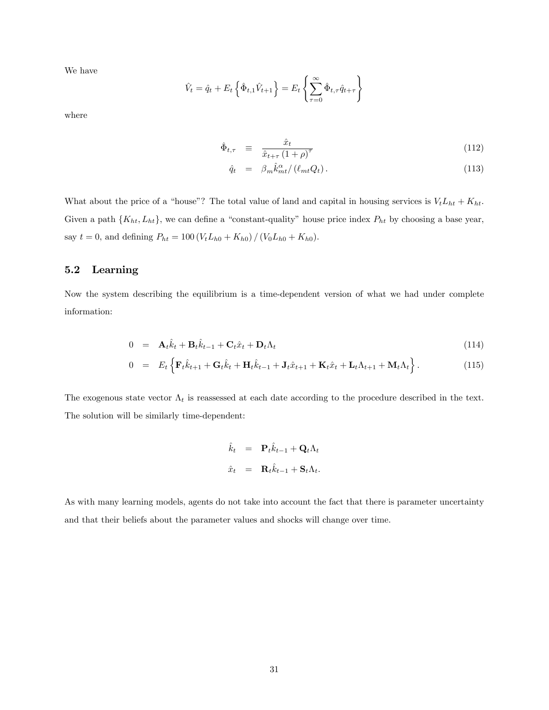We have

$$
\hat{V}_t = \hat{q}_t + E_t \left\{ \hat{\Phi}_{t,1} \hat{V}_{t+1} \right\} = E_t \left\{ \sum_{\tau=0}^{\infty} \hat{\Phi}_{t,\tau} \hat{q}_{t+\tau} \right\}
$$

where

$$
\hat{\Phi}_{t,\tau} = \frac{\hat{x}_t}{\hat{x}_{t+\tau} (1+\rho)^\tau}
$$
\n(112)

$$
\hat{q}_t = \beta_m \hat{k}_{mt}^\alpha / (\ell_{mt} Q_t). \tag{113}
$$

What about the price of a "house"? The total value of land and capital in housing services is  $V_tL_{ht} + K_{ht}$ . Given a path  $\{K_{ht}, L_{ht}\}$ , we can define a "constant-quality" house price index  $P_{ht}$  by choosing a base year, say  $t = 0$ , and defining  $P_{ht} = 100 (V_t L_{h0} + K_{h0}) / (V_0 L_{h0} + K_{h0}).$ 

#### 5.2 Learning

Now the system describing the equilibrium is a time-dependent version of what we had under complete information:

$$
0 = \mathbf{A}_t \hat{k}_t + \mathbf{B}_t \hat{k}_{t-1} + \mathbf{C}_t \hat{x}_t + \mathbf{D}_t \Lambda_t
$$
\n(114)

$$
0 = E_t \left\{ \mathbf{F}_t \hat{k}_{t+1} + \mathbf{G}_t \hat{k}_t + \mathbf{H}_t \hat{k}_{t-1} + \mathbf{J}_t \hat{x}_{t+1} + \mathbf{K}_t \hat{x}_t + \mathbf{L}_t \Lambda_{t+1} + \mathbf{M}_t \Lambda_t \right\}.
$$
 (115)

The exogenous state vector  $\Lambda_t$  is reassessed at each date according to the procedure described in the text. The solution will be similarly time-dependent:

$$
\hat{k}_t = \mathbf{P}_t \hat{k}_{t-1} + \mathbf{Q}_t \Lambda_t
$$
  

$$
\hat{x}_t = \mathbf{R}_t \hat{k}_{t-1} + \mathbf{S}_t \Lambda_t.
$$

As with many learning models, agents do not take into account the fact that there is parameter uncertainty and that their beliefs about the parameter values and shocks will change over time.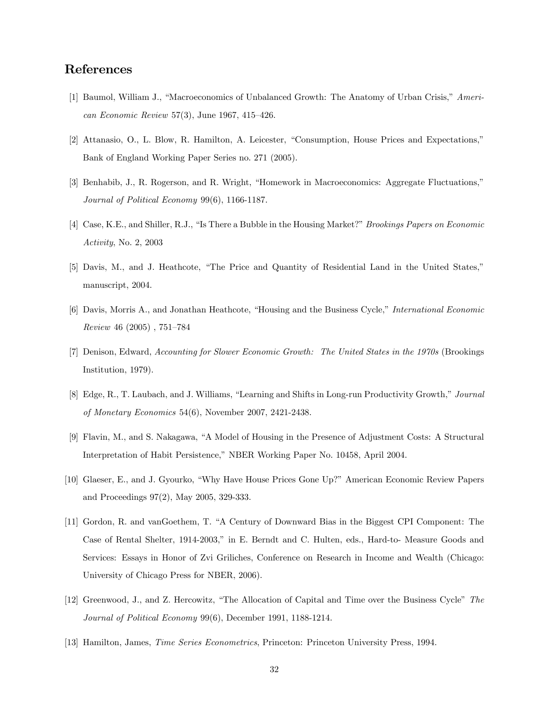# References

- [1] Baumol, William J., "Macroeconomics of Unbalanced Growth: The Anatomy of Urban Crisis," American Economic Review 57(3), June 1967, 415–426.
- [2] Attanasio, O., L. Blow, R. Hamilton, A. Leicester, "Consumption, House Prices and Expectations," Bank of England Working Paper Series no. 271 (2005).
- [3] Benhabib, J., R. Rogerson, and R. Wright, "Homework in Macroeconomics: Aggregate Fluctuations," Journal of Political Economy 99(6), 1166-1187.
- [4] Case, K.E., and Shiller, R.J., "Is There a Bubble in the Housing Market?" *Brookings Papers on Economic* Activity, No. 2, 2003
- [5] Davis, M., and J. Heathcote, "The Price and Quantity of Residential Land in the United States," manuscript, 2004.
- [6] Davis, Morris A., and Jonathan Heathcote, "Housing and the Business Cycle," International Economic  $Review\;46\;(2005)$ , 751-784
- [7] Denison, Edward, Accounting for Slower Economic Growth: The United States in the 1970s (Brookings Institution, 1979).
- [8] Edge, R., T. Laubach, and J. Williams, "Learning and Shifts in Long-run Productivity Growth," Journal of Monetary Economics 54(6), November 2007, 2421-2438.
- [9] Flavin, M., and S. Nakagawa, "A Model of Housing in the Presence of Adjustment Costs: A Structural Interpretation of Habit Persistence," NBER Working Paper No. 10458, April 2004.
- [10] Glaeser, E., and J. Gyourko, "Why Have House Prices Gone Up?" American Economic Review Papers and Proceedings 97(2), May 2005, 329-333.
- [11] Gordon, R. and vanGoethem, T. "A Century of Downward Bias in the Biggest CPI Component: The Case of Rental Shelter, 1914-2003," in E. Berndt and C. Hulten, eds., Hard-to- Measure Goods and Services: Essays in Honor of Zvi Griliches, Conference on Research in Income and Wealth (Chicago: University of Chicago Press for NBER, 2006).
- [12] Greenwood, J., and Z. Hercowitz, "The Allocation of Capital and Time over the Business Cycle" The Journal of Political Economy 99(6), December 1991, 1188-1214.
- [13] Hamilton, James, Time Series Econometrics, Princeton: Princeton University Press, 1994.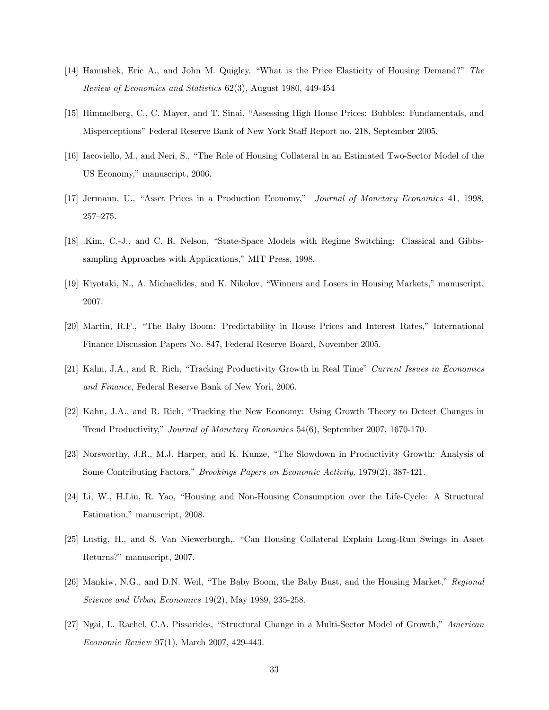- [14] Hanushek, Eric A., and John M. Quigley, "What is the Price Elasticity of Housing Demand?" The Review of Economics and Statistics 62(3), August 1980, 449-454
- [15] Himmelberg, C., C. Mayer, and T. Sinai, "Assessing High House Prices: Bubbles: Fundamentals, and Misperceptions" Federal Reserve Bank of New York Staff Report no. 218, September 2005.
- [16] Iacoviello, M., and Neri, S., "The Role of Housing Collateral in an Estimated Two-Sector Model of the US Economy," manuscript, 2006.
- [17] Jermann, U., "Asset Prices in a Production Economy," Journal of Monetary Economics 41, 1998,  $257 - 275.$
- [18] .Kim, C.-J., and C. R. Nelson, "State-Space Models with Regime Switching: Classical and Gibbssampling Approaches with Applications," MIT Press, 1998.
- [19] Kiyotaki, N., A. Michaelides, and K. Nikolov, "Winners and Losers in Housing Markets," manuscript, 2007.
- [20] Martin, R.F., "The Baby Boom: Predictability in House Prices and Interest Rates," International Finance Discussion Papers No. 847, Federal Reserve Board, November 2005.
- [21] Kahn, J.A., and R. Rich, "Tracking Productivity Growth in Real Time" Current Issues in Economics and Finance, Federal Reserve Bank of New Yori, 2006.
- [22] Kahn, J.A., and R. Rich, "Tracking the New Economy: Using Growth Theory to Detect Changes in Trend Productivity," Journal of Monetary Economics 54(6), September 2007, 1670-170.
- [23] Norsworthy, J.R., M.J. Harper, and K. Kunze, "The Slowdown in Productivity Growth: Analysis of Some Contributing Factors," *Brookings Papers on Economic Activity*, 1979(2), 387-421.
- [24] Li, W., H.Liu, R. Yao, "Housing and Non-Housing Consumption over the Life-Cycle: A Structural Estimation," manuscript, 2008.
- [25] Lustig, H., and S. Van Niewerburgh,. "Can Housing Collateral Explain Long-Run Swings in Asset Returns?" manuscript, 2007.
- [26] Mankiw, N.G., and D.N. Weil, "The Baby Boom, the Baby Bust, and the Housing Market," Regional Science and Urban Economics 19(2), May 1989, 235-258.
- [27] Ngai, L. Rachel, C.A. Pissarides, "Structural Change in a Multi-Sector Model of Growth," American Economic Review 97(1), March 2007, 429-443.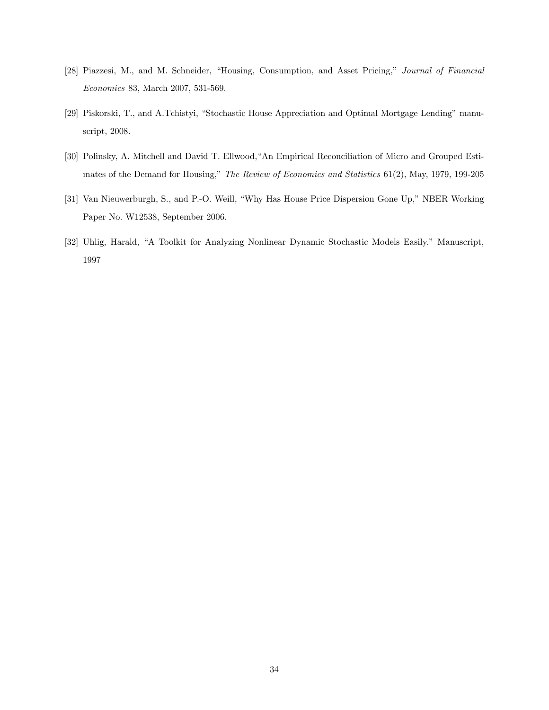- [28] Piazzesi, M., and M. Schneider, "Housing, Consumption, and Asset Pricing," Journal of Financial Economics 83, March 2007, 531-569.
- [29] Piskorski, T., and A.Tchistyi, "Stochastic House Appreciation and Optimal Mortgage Lending" manuscript, 2008.
- [30] Polinsky, A. Mitchell and David T. Ellwood,"An Empirical Reconciliation of Micro and Grouped Estimates of the Demand for Housing," The Review of Economics and Statistics  $61(2)$ , May, 1979, 199-205
- [31] Van Nieuwerburgh, S., and P.-O. Weill, "Why Has House Price Dispersion Gone Up," NBER Working Paper No. W12538, September 2006.
- [32] Uhlig, Harald, "A Toolkit for Analyzing Nonlinear Dynamic Stochastic Models Easily." Manuscript, 1997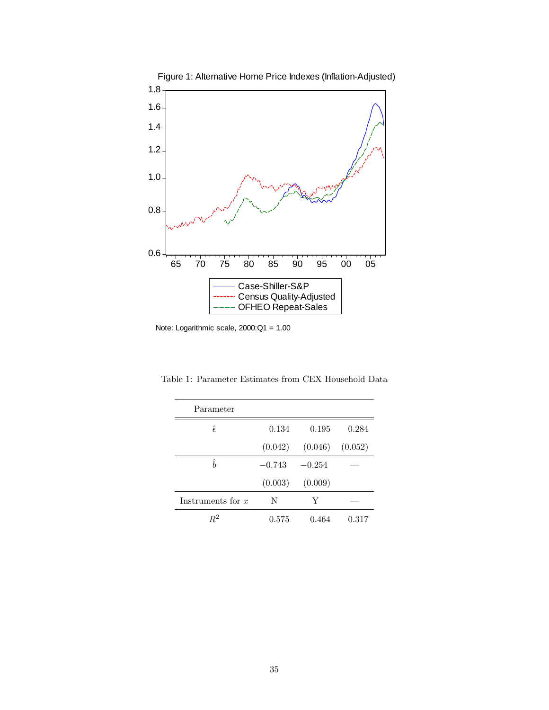

Note: Logarithmic scale, 2000:Q1 = 1.00

| Parameter           |          |          |         |
|---------------------|----------|----------|---------|
| $\hat{\epsilon}$    | 0.134    | 0.195    | 0.284   |
|                     | (0.042)  | (0.046)  | (0.052) |
| $\hat{h}$           | $-0.743$ | $-0.254$ |         |
|                     | (0.003)  | (0.009)  |         |
| Instruments for $x$ | N        | Y        |         |
| $R^2$               | 0.575    | 0.464    | 0.317   |

Table 1: Parameter Estimates from CEX Household Data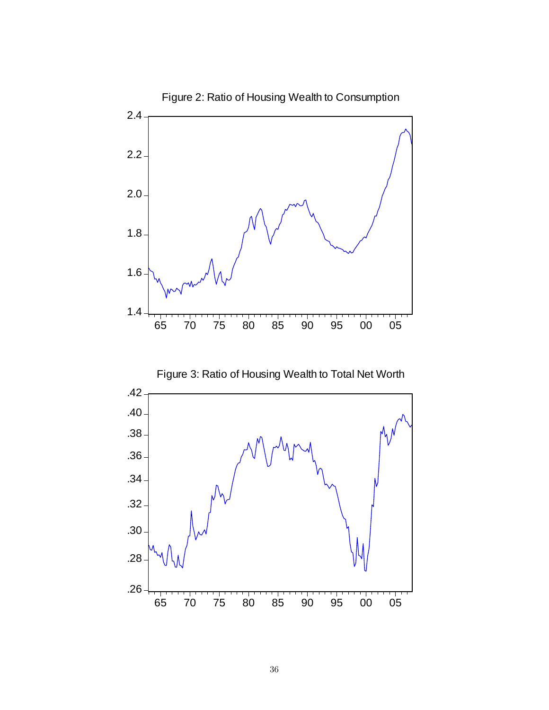



Figure 2: Ratio of Housing Wealth to Consumption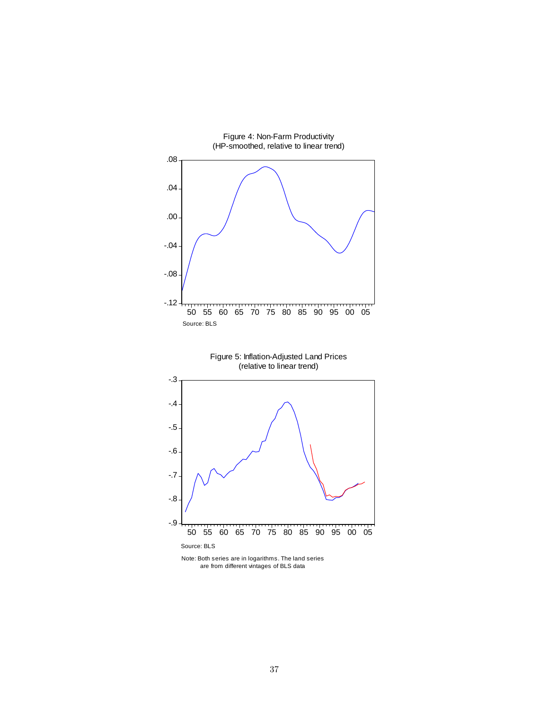

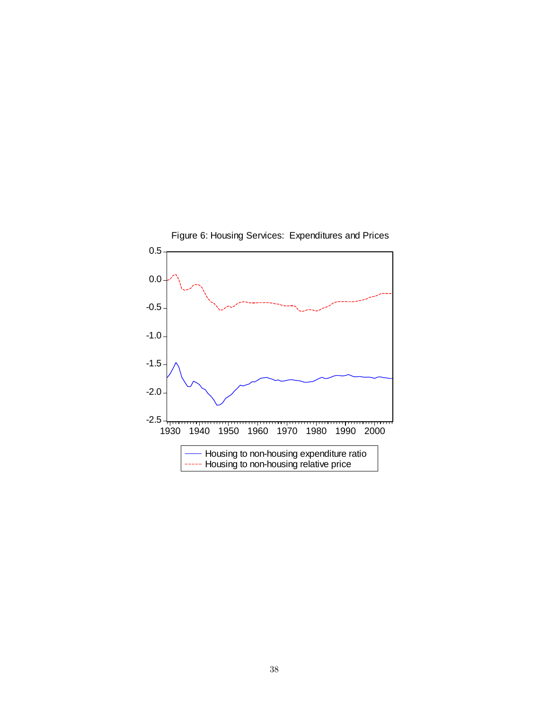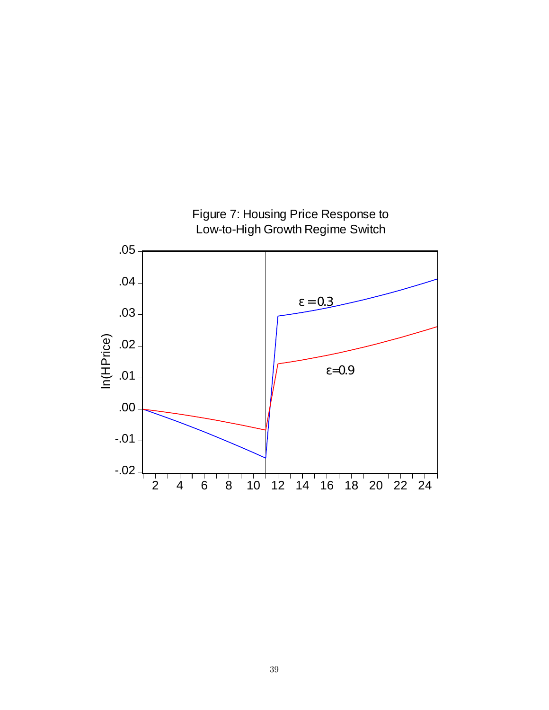

Figure 7: Housing Price Response to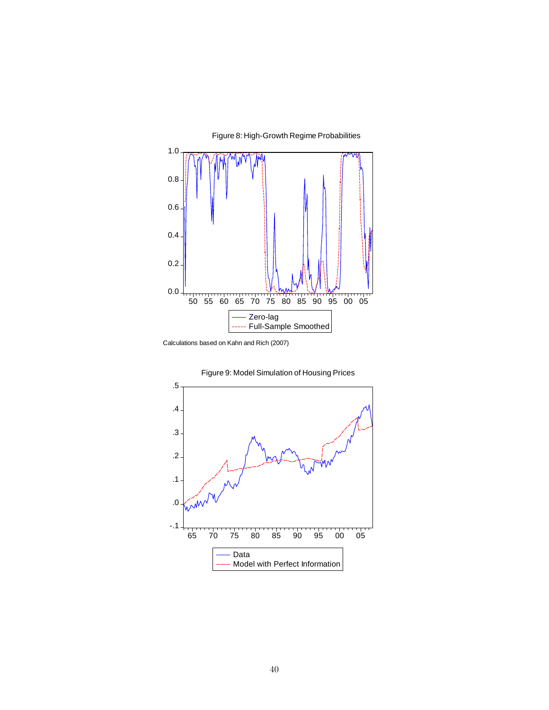

Figure 8: High-Growth Regime Probabilities

Calculations based on Kahn and Rich (2007)

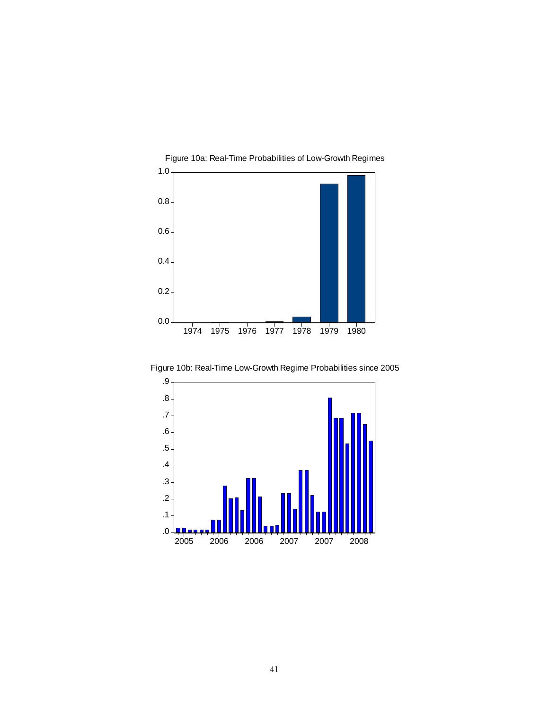

Figure 10b: Real-Time Low-Growth Regime Probabilities since 2005